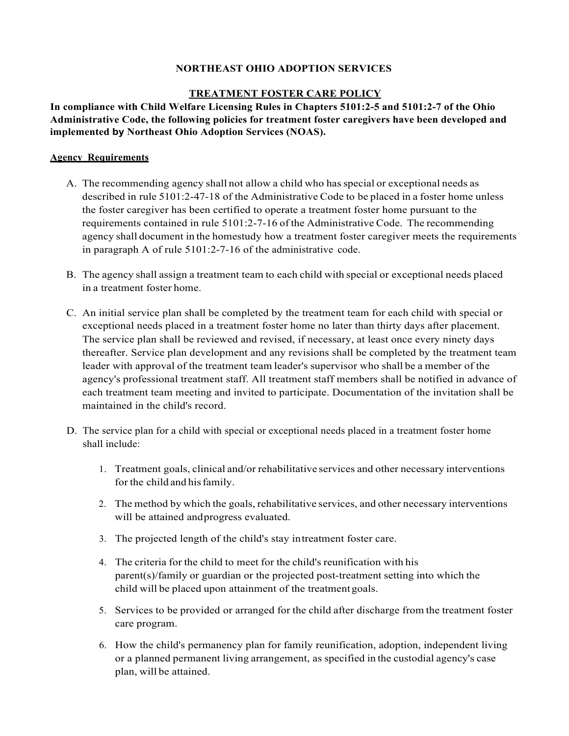## **NORTHEAST OHIO ADOPTION SERVICES**

# **TREATMENT FOSTER CARE POLICY**

**In compliance with Child Welfare Licensing Rules in Chapters 5101:2-5 and 5101:2-7 of the Ohio Administrative Code, the following policies for treatment foster caregivers have been developed and implemented by Northeast Ohio Adoption Services (NOAS).**

## **Agency Requirements**

- A. The recommending agency shall not allow a child who hasspecial or exceptional needs as described in rule 5101:2-47-18 of the Administrative Code to be placed in a foster home unless the foster caregiver has been certified to operate a treatment foster home pursuant to the requirements contained in rule 5101:2-7-16 of the Administrative Code. The recommending agency shall document in the homestudy how a treatment foster caregiver meets the requirements in paragraph A of rule 5101:2-7-16 of the administrative code.
- B. The agency shall assign a treatment team to each child with special or exceptional needs placed in a treatment foster home.
- C. An initial service plan shall be completed by the treatment team for each child with special or exceptional needs placed in a treatment foster home no later than thirty days after placement. The service plan shall be reviewed and revised, if necessary, at least once every ninety days thereafter. Service plan development and any revisions shall be completed by the treatment team leader with approval of the treatment team leader's supervisor who shall be a member of the agency's professional treatment staff. All treatment staff members shall be notified in advance of each treatment team meeting and invited to participate. Documentation of the invitation shall be maintained in the child's record.
- D. The service plan for a child with special or exceptional needs placed in a treatment foster home shall include:
	- 1. Treatment goals, clinical and/or rehabilitative services and other necessary interventions for the child and hisfamily.
	- 2. The method by which the goals, rehabilitative services, and other necessary interventions will be attained andprogress evaluated.
	- 3. The projected length of the child's stay intreatment foster care.
	- 4. The criteria for the child to meet for the child's reunification with his parent(s)/family or guardian or the projected post-treatment setting into which the child will be placed upon attainment of the treatment goals.
	- 5. Services to be provided or arranged for the child after discharge from the treatment foster care program.
	- 6. How the child's permanency plan for family reunification, adoption, independent living or a planned permanent living arrangement, as specified in the custodial agency's case plan, will be attained.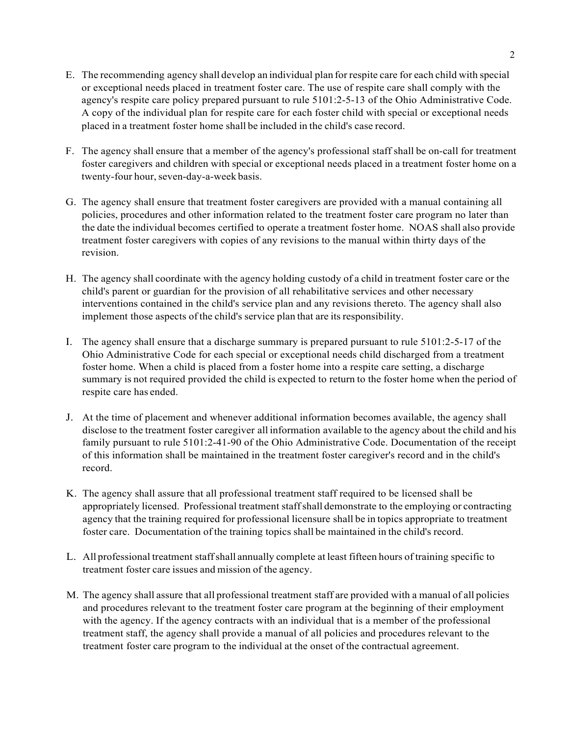- E. The recommending agency shall develop an individual plan for respite care for each child with special or exceptional needs placed in treatment foster care. The use of respite care shall comply with the agency's respite care policy prepared pursuant to rule 5101:2-5-13 of the Ohio Administrative Code. A copy of the individual plan for respite care for each foster child with special or exceptional needs placed in a treatment foster home shall be included in the child's case record.
- F. The agency shall ensure that a member of the agency's professional staff shall be on-call for treatment foster caregivers and children with special or exceptional needs placed in a treatment foster home on a twenty-four hour, seven-day-a-week basis.
- G. The agency shall ensure that treatment foster caregivers are provided with a manual containing all policies, procedures and other information related to the treatment foster care program no later than the date the individual becomes certified to operate a treatment foster home. NOAS shall also provide treatment foster caregivers with copies of any revisions to the manual within thirty days of the revision.
- H. The agency shall coordinate with the agency holding custody of a child in treatment foster care or the child's parent or guardian for the provision of all rehabilitative services and other necessary interventions contained in the child's service plan and any revisions thereto. The agency shall also implement those aspects of the child's service plan that are itsresponsibility.
- I. The agency shall ensure that a discharge summary is prepared pursuant to rule 5101:2-5-17 of the Ohio Administrative Code for each special or exceptional needs child discharged from a treatment foster home. When a child is placed from a foster home into a respite care setting, a discharge summary is not required provided the child is expected to return to the foster home when the period of respite care has ended.
- J. At the time of placement and whenever additional information becomes available, the agency shall disclose to the treatment foster caregiver all information available to the agency about the child and his family pursuant to rule 5101:2-41-90 of the Ohio Administrative Code. Documentation of the receipt of this information shall be maintained in the treatment foster caregiver's record and in the child's record.
- K. The agency shall assure that all professional treatment staff required to be licensed shall be appropriately licensed. Professional treatment staffshall demonstrate to the employing or contracting agency that the training required for professional licensure shall be in topics appropriate to treatment foster care. Documentation of the training topics shall be maintained in the child's record.
- L. All professional treatment staffshall annually complete at least fifteen hours of training specific to treatment foster care issues and mission of the agency.
- M. The agency shall assure that all professional treatment staff are provided with a manual of all policies and procedures relevant to the treatment foster care program at the beginning of their employment with the agency. If the agency contracts with an individual that is a member of the professional treatment staff, the agency shall provide a manual of all policies and procedures relevant to the treatment foster care program to the individual at the onset of the contractual agreement.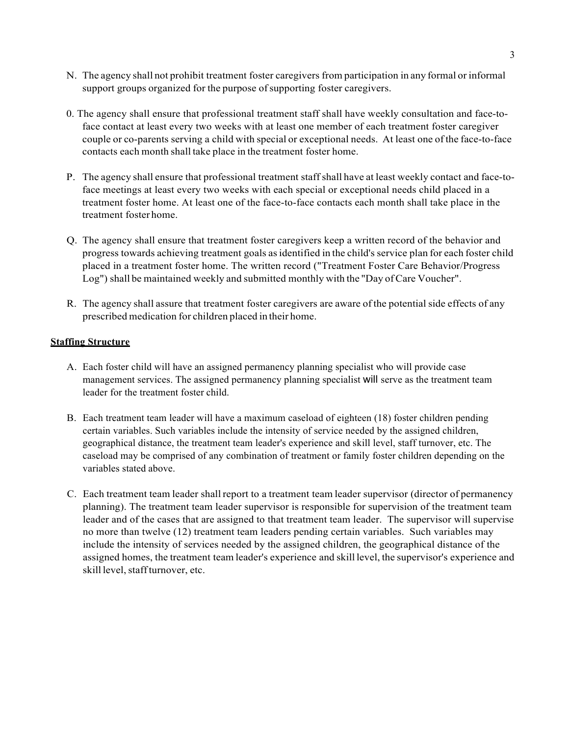- N. The agency shall not prohibit treatment foster caregivers from participation in any formal or informal support groups organized for the purpose of supporting foster caregivers.
- 0. The agency shall ensure that professional treatment staff shall have weekly consultation and face-toface contact at least every two weeks with at least one member of each treatment foster caregiver couple or co-parents serving a child with special or exceptional needs. At least one of the face-to-face contacts each month shall take place in the treatment foster home.
- P. The agency shall ensure that professional treatment staffshall have at least weekly contact and face-toface meetings at least every two weeks with each special or exceptional needs child placed in a treatment foster home. At least one of the face-to-face contacts each month shall take place in the treatment foster home.
- Q. The agency shall ensure that treatment foster caregivers keep a written record of the behavior and progress towards achieving treatment goals asidentified in the child's service plan for each foster child placed in a treatment foster home. The written record ("Treatment Foster Care Behavior/Progress Log") shall be maintained weekly and submitted monthly with the "Day of Care Voucher".
- R. The agency shall assure that treatment foster caregivers are aware of the potential side effects of any prescribed medication for children placed in their home.

## **Staffing Structure**

- A. Each foster child will have an assigned permanency planning specialist who will provide case management services. The assigned permanency planning specialist will serve as the treatment team leader for the treatment foster child.
- B. Each treatment team leader will have a maximum caseload of eighteen (18) foster children pending certain variables. Such variables include the intensity of service needed by the assigned children, geographical distance, the treatment team leader's experience and skill level, staff turnover, etc. The caseload may be comprised of any combination of treatment or family foster children depending on the variables stated above.
- C. Each treatment team leader shall report to a treatment team leader supervisor (director of permanency planning). The treatment team leader supervisor is responsible for supervision of the treatment team leader and of the cases that are assigned to that treatment team leader. The supervisor will supervise no more than twelve (12) treatment team leaders pending certain variables. Such variables may include the intensity of services needed by the assigned children, the geographical distance of the assigned homes, the treatment team leader's experience and skill level, the supervisor's experience and skill level, staff turnover, etc.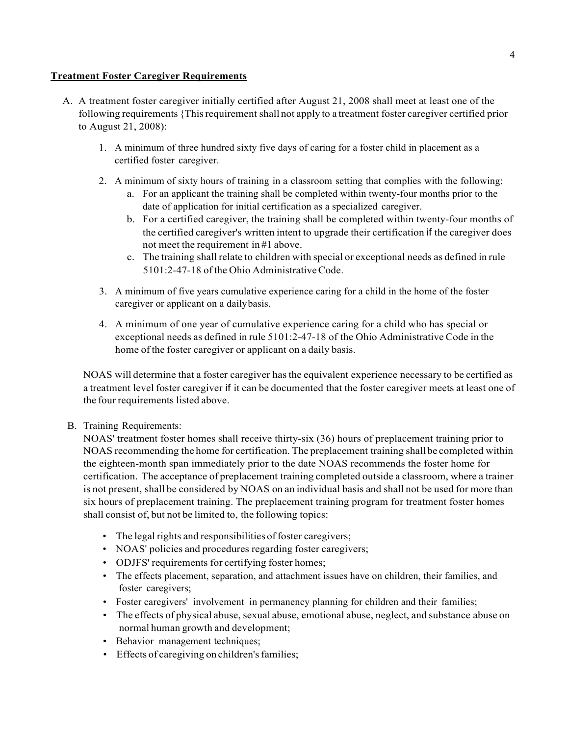# **Treatment Foster Caregiver Requirements**

- A. A treatment foster caregiver initially certified after August 21, 2008 shall meet at least one of the following requirements {Thisrequirement shall not apply to a treatment foster caregiver certified prior to August 21, 2008):
	- 1. A minimum of three hundred sixty five days of caring for a foster child in placement as a certified foster caregiver.
	- 2. A minimum of sixty hours of training in a classroom setting that complies with the following:
		- a. For an applicant the training shall be completed within twenty-four months prior to the date of application for initial certification as a specialized caregiver.
		- b. For a certified caregiver, the training shall be completed within twenty-four months of the certified caregiver's written intent to upgrade their certification if the caregiver does not meet the requirement in #1 above.
		- c. The training shallrelate to children with special or exceptional needs as defined in rule 5101:2-47-18 ofthe Ohio AdministrativeCode.
	- 3. A minimum of five years cumulative experience caring for a child in the home of the foster caregiver or applicant on a dailybasis.
	- 4. A minimum of one year of cumulative experience caring for a child who has special or exceptional needs as defined in rule 5101:2-47-18 of the Ohio Administrative Code in the home of the foster caregiver or applicant on a daily basis.

NOAS will determine that a foster caregiver hasthe equivalent experience necessary to be certified as a treatment level foster caregiver if it can be documented that the foster caregiver meets at least one of the four requirements listed above.

# B. Training Requirements:

NOAS' treatment foster homes shall receive thirty-six (36) hours of preplacement training prior to NOAS recommending the home for certification. The preplacement training shall be completed within the eighteen-month span immediately prior to the date NOAS recommends the foster home for certification. The acceptance of preplacement training completed outside a classroom, where a trainer is not present, shall be considered by NOAS on an individual basis and shall not be used for more than six hours of preplacement training. The preplacement training program for treatment foster homes shall consist of, but not be limited to, the following topics:

- The legal rights and responsibilities of foster caregivers;
- NOAS' policies and procedures regarding foster caregivers;
- ODJFS' requirements for certifying foster homes;
- The effects placement, separation, and attachment issues have on children, their families, and foster caregivers;
- Foster caregivers' involvement in permanency planning for children and their families;
- The effects of physical abuse, sexual abuse, emotional abuse, neglect, and substance abuse on normal human growth and development;
- Behavior management techniques;
- Effects of caregiving on children's families;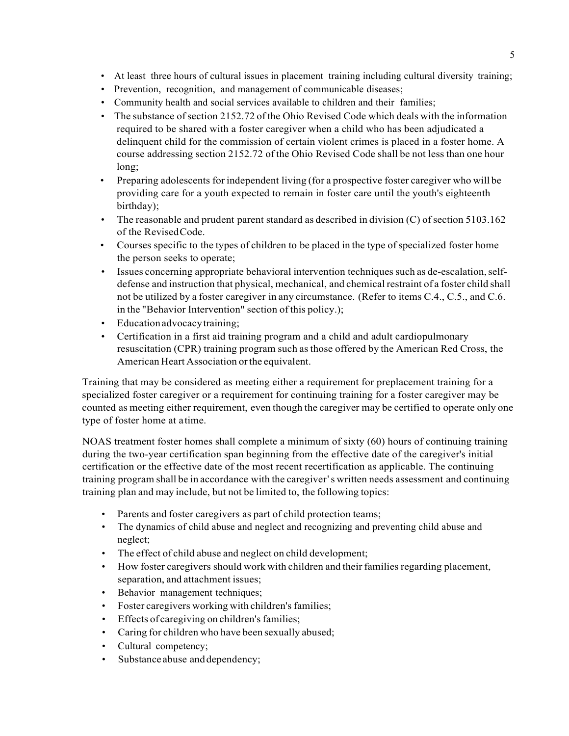- At least three hours of cultural issues in placement training including cultural diversity training;
- Prevention, recognition, and management of communicable diseases;
- Community health and social services available to children and their families;
- The substance ofsection 2152.72 of the Ohio Revised Code which deals with the information required to be shared with a foster caregiver when a child who has been adjudicated a delinquent child for the commission of certain violent crimes is placed in a foster home. A course addressing section 2152.72 of the Ohio Revised Code shall be not less than one hour long;
- Preparing adolescents for independent living (for a prospective foster caregiver who will be providing care for a youth expected to remain in foster care until the youth's eighteenth birthday);
- The reasonable and prudent parent standard as described in division  $(C)$  of section 5103.162 of the RevisedCode.
- Courses specific to the types of children to be placed in the type of specialized foster home the person seeks to operate;
- Issues concerning appropriate behavioral intervention techniques such as de-escalation, selfdefense and instruction that physical, mechanical, and chemical restraint of a foster child shall not be utilized by a foster caregiver in any circumstance. (Refer to items C.4., C.5., and C.6. in the "Behavior Intervention" section of this policy.);
- Education advocacy training;
- Certification in a first aid training program and a child and adult cardiopulmonary resuscitation (CPR) training program such asthose offered by the American Red Cross, the American Heart Association or the equivalent.

Training that may be considered as meeting either a requirement for preplacement training for a specialized foster caregiver or a requirement for continuing training for a foster caregiver may be counted as meeting either requirement, even though the caregiver may be certified to operate only one type of foster home at atime.

NOAS treatment foster homes shall complete a minimum of sixty (60) hours of continuing training during the two-year certification span beginning from the effective date of the caregiver's initial certification or the effective date of the most recent recertification as applicable. The continuing training program shall be in accordance with the caregiver's written needs assessment and continuing training plan and may include, but not be limited to, the following topics:

- Parents and foster caregivers as part of child protection teams;
- The dynamics of child abuse and neglect and recognizing and preventing child abuse and neglect;
- The effect of child abuse and neglect on child development;
- How foster caregivers should work with children and their families regarding placement, separation, and attachment issues;
- Behavior management techniques;
- Foster caregivers working with children's families;
- Effects of caregiving on children's families;
- Caring for children who have been sexually abused;
- Cultural competency;
- Substance abuse and dependency;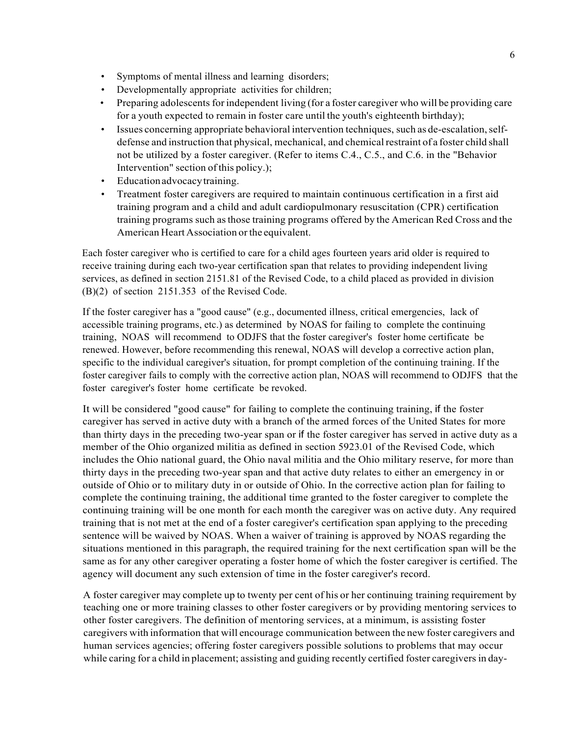- Symptoms of mental illness and learning disorders;
- Developmentally appropriate activities for children;
- Preparing adolescents for independent living (for a foster caregiver who will be providing care for a youth expected to remain in foster care until the youth's eighteenth birthday);
- Issues concerning appropriate behavioral intervention techniques, such as de-escalation, selfdefense and instruction that physical, mechanical, and chemical restraint of a foster child shall not be utilized by a foster caregiver. (Refer to items C.4., C.5., and C.6. in the "Behavior Intervention" section ofthis policy.);
- Educationadvocacytraining.
- Treatment foster caregivers are required to maintain continuous certification in a first aid training program and a child and adult cardiopulmonary resuscitation (CPR) certification training programs such asthose training programs offered by the American Red Cross and the American Heart Association or the equivalent.

Each foster caregiver who is certified to care for a child ages fourteen years arid older is required to receive training during each two-year certification span that relates to providing independent living services, as defined in section 2151.81 of the Revised Code, to a child placed as provided in division (B)(2) of section 2151.353 of the Revised Code.

If the foster caregiver has a "good cause" (e.g., documented illness, critical emergencies, lack of accessible training programs, etc.) as determined by NOAS for failing to complete the continuing training, NOAS will recommend to ODJFS that the foster caregiver's foster home certificate be renewed. However, before recommending this renewal, NOAS will develop a corrective action plan, specific to the individual caregiver's situation, for prompt completion of the continuing training. If the foster caregiver fails to comply with the corrective action plan, NOAS will recommend to ODJFS that the foster caregiver's foster home certificate be revoked.

It will be considered "good cause" for failing to complete the continuing training, if the foster caregiver has served in active duty with a branch of the armed forces of the United States for more than thirty days in the preceding two-year span or if the foster caregiver has served in active duty as a member of the Ohio organized militia as defined in section 5923.01 of the Revised Code, which includes the Ohio national guard, the Ohio naval militia and the Ohio military reserve, for more than thirty days in the preceding two-year span and that active duty relates to either an emergency in or outside of Ohio or to military duty in or outside of Ohio. In the corrective action plan for failing to complete the continuing training, the additional time granted to the foster caregiver to complete the continuing training will be one month for each month the caregiver was on active duty. Any required training that is not met at the end of a foster caregiver's certification span applying to the preceding sentence will be waived by NOAS. When a waiver of training is approved by NOAS regarding the situations mentioned in this paragraph, the required training for the next certification span will be the same as for any other caregiver operating a foster home of which the foster caregiver is certified. The agency will document any such extension of time in the foster caregiver's record.

A foster caregiver may complete up to twenty per cent of his or her continuing training requirement by teaching one or more training classes to other foster caregivers or by providing mentoring services to other foster caregivers. The definition of mentoring services, at a minimum, is assisting foster caregivers with information that will encourage communication between the new foster caregivers and human services agencies; offering foster caregivers possible solutions to problems that may occur while caring for a child in placement; assisting and guiding recently certified foster caregivers in day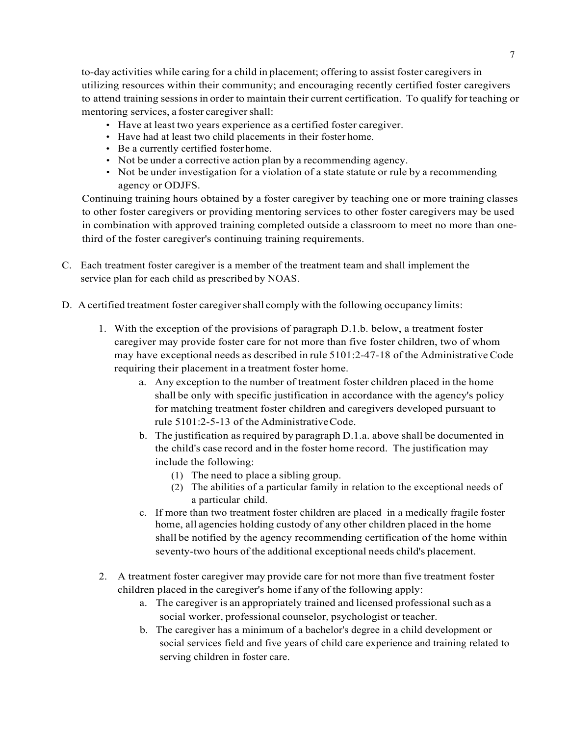to-day activities while caring for a child in placement; offering to assist foster caregivers in utilizing resources within their community; and encouraging recently certified foster caregivers to attend training sessionsin order to maintain their current certification. To qualify for teaching or mentoring services, a foster caregiver shall:

- Have at least two years experience as a certified foster caregiver.
- Have had at least two child placements in their foster home.
- Be a currently certified fosterhome.
- Not be under a corrective action plan by a recommending agency.
- Not be under investigation for a violation of a state statute or rule by a recommending agency or ODJFS.

Continuing training hours obtained by a foster caregiver by teaching one or more training classes to other foster caregivers or providing mentoring services to other foster caregivers may be used in combination with approved training completed outside a classroom to meet no more than onethird of the foster caregiver's continuing training requirements.

- C. Each treatment foster caregiver is a member of the treatment team and shall implement the service plan for each child as prescribed by NOAS.
- D. A certified treatment foster caregivershall comply with the following occupancy limits:
	- 1. With the exception of the provisions of paragraph D.1.b. below, a treatment foster caregiver may provide foster care for not more than five foster children, two of whom may have exceptional needs as described in rule 5101:2-47-18 of the Administrative Code requiring their placement in a treatment foster home.
		- a. Any exception to the number of treatment foster children placed in the home shall be only with specific justification in accordance with the agency's policy for matching treatment foster children and caregivers developed pursuant to rule 5101:2-5-13 of the AdministrativeCode.
		- b. The justification as required by paragraph D.1.a. above shall be documented in the child's case record and in the foster home record. The justification may include the following:
			- (1) The need to place a sibling group.
			- (2) The abilities of a particular family in relation to the exceptional needs of a particular child.
		- c. If more than two treatment foster children are placed in a medically fragile foster home, all agencies holding custody of any other children placed in the home shall be notified by the agency recommending certification of the home within seventy-two hours of the additional exceptional needs child's placement.
	- 2. A treatment foster caregiver may provide care for not more than five treatment foster children placed in the caregiver's home if any of the following apply:
		- a. The caregiver is an appropriately trained and licensed professional such as a social worker, professional counselor, psychologist or teacher.
		- b. The caregiver has a minimum of a bachelor's degree in a child development or social services field and five years of child care experience and training related to serving children in foster care.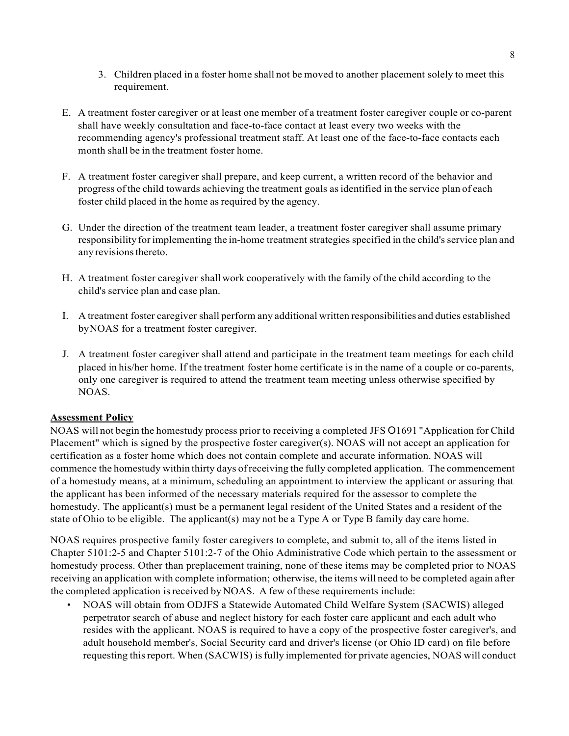- 3. Children placed in a foster home shall not be moved to another placement solely to meet this requirement.
- E. A treatment foster caregiver or at least one member of a treatment foster caregiver couple or co-parent shall have weekly consultation and face-to-face contact at least every two weeks with the recommending agency's professional treatment staff. At least one of the face-to-face contacts each month shall be in the treatment foster home.
- F. A treatment foster caregiver shall prepare, and keep current, a written record of the behavior and progress of the child towards achieving the treatment goals asidentified in the service plan of each foster child placed in the home as required by the agency.
- G. Under the direction of the treatment team leader, a treatment foster caregiver shall assume primary responsibility for implementing the in-home treatment strategies specified in the child's service plan and any revisions thereto.
- H. A treatment foster caregiver shall work cooperatively with the family ofthe child according to the child's service plan and case plan.
- I. A treatment foster caregiver shall perform any additional written responsibilities and duties established byNOAS for a treatment foster caregiver.
- J. A treatment foster caregiver shall attend and participate in the treatment team meetings for each child placed in his/her home. If the treatment foster home certificate is in the name of a couple or co-parents, only one caregiver is required to attend the treatment team meeting unless otherwise specified by NOAS.

## **Assessment Policy**

NOAS will not begin the homestudy process prior to receiving a completed JFS O1691 "Application for Child Placement" which is signed by the prospective foster caregiver(s). NOAS will not accept an application for certification as a foster home which does not contain complete and accurate information. NOAS will commence the homestudy within thirty days ofreceiving the fully completed application. The commencement of a homestudy means, at a minimum, scheduling an appointment to interview the applicant or assuring that the applicant has been informed of the necessary materials required for the assessor to complete the homestudy. The applicant(s) must be a permanent legal resident of the United States and a resident of the state of Ohio to be eligible. The applicant(s) may not be a Type A or Type B family day care home.

NOAS requires prospective family foster caregivers to complete, and submit to, all of the items listed in Chapter 5101:2-5 and Chapter 5101:2-7 of the Ohio Administrative Code which pertain to the assessment or homestudy process. Other than preplacement training, none of these items may be completed prior to NOAS receiving an application with complete information; otherwise, the items will need to be completed again after the completed application isreceived by NOAS. A few of these requirements include:

• NOAS will obtain from ODJFS a Statewide Automated Child Welfare System (SACWIS) alleged perpetrator search of abuse and neglect history for each foster care applicant and each adult who resides with the applicant. NOAS is required to have a copy of the prospective foster caregiver's, and adult household member's, Social Security card and driver's license (or Ohio ID card) on file before requesting this report. When (SACWIS) is fully implemented for private agencies, NOAS will conduct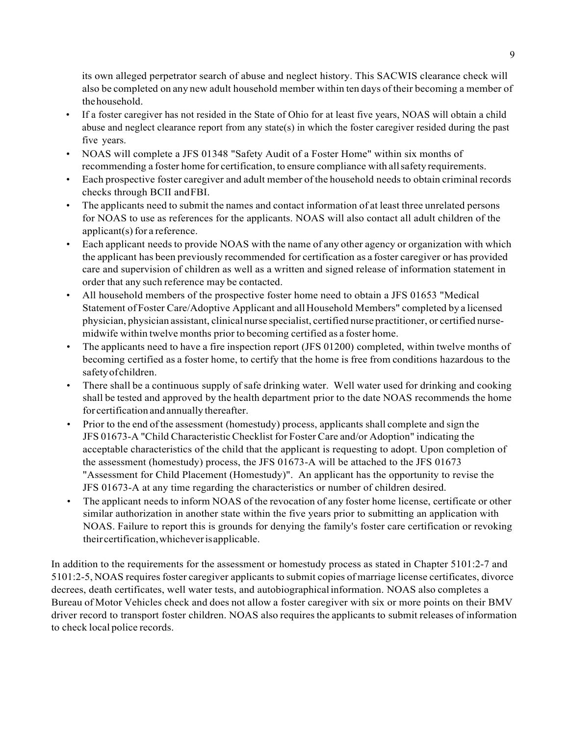its own alleged perpetrator search of abuse and neglect history. This SACWIS clearance check will also be completed on any new adult household member within ten days oftheir becoming a member of thehousehold.

- If a foster caregiver has not resided in the State of Ohio for at least five years, NOAS will obtain a child abuse and neglect clearance report from any state(s) in which the foster caregiver resided during the past five years.
- NOAS will complete a JFS 01348 "Safety Audit of a Foster Home" within six months of recommending a foster home for certification, to ensure compliance with allsafety requirements.
- Each prospective foster caregiver and adult member of the household needs to obtain criminal records checks through BCII andFBI.
- The applicants need to submit the names and contact information of at least three unrelated persons for NOAS to use as references for the applicants. NOAS will also contact all adult children of the applicant(s) for a reference.
- Each applicant needs to provide NOAS with the name of any other agency or organization with which the applicant has been previously recommended for certification as a foster caregiver or has provided care and supervision of children as well as a written and signed release of information statement in order that any such reference may be contacted.
- All household members of the prospective foster home need to obtain a JFS 01653 "Medical Statement of Foster Care/Adoptive Applicant and all Household Members" completed by a licensed physician, physician assistant, clinicalnurse specialist, certified nurse practitioner, or certified nursemidwife within twelve months prior to becoming certified as a foster home.
- The applicants need to have a fire inspection report (JFS 01200) completed, within twelve months of becoming certified as a foster home, to certify that the home is free from conditions hazardous to the safetyofchildren.
- There shall be a continuous supply of safe drinking water. Well water used for drinking and cooking shall be tested and approved by the health department prior to the date NOAS recommends the home for certification and annually thereafter.
- Prior to the end of the assessment (homestudy) process, applicants shall complete and sign the JFS 01673-A "Child CharacteristicChecklist for Foster Care and/or Adoption" indicating the acceptable characteristics of the child that the applicant is requesting to adopt. Upon completion of the assessment (homestudy) process, the JFS 01673-A will be attached to the JFS 01673 "Assessment for Child Placement (Homestudy)". An applicant has the opportunity to revise the JFS 01673-A at any time regarding the characteristics or number of children desired.
- The applicant needs to inform NOAS of the revocation of any foster home license, certificate or other similar authorization in another state within the five years prior to submitting an application with NOAS. Failure to report this is grounds for denying the family's foster care certification or revoking their certification,whicheverisapplicable.

In addition to the requirements for the assessment or homestudy process as stated in Chapter 5101:2-7 and 5101:2-5, NOAS requires foster caregiver applicants to submit copies of marriage license certificates, divorce decrees, death certificates, well water tests, and autobiographicalinformation. NOAS also completes a Bureau of Motor Vehicles check and does not allow a foster caregiver with six or more points on their BMV driver record to transport foster children. NOAS also requires the applicants to submit releases of information to check local police records.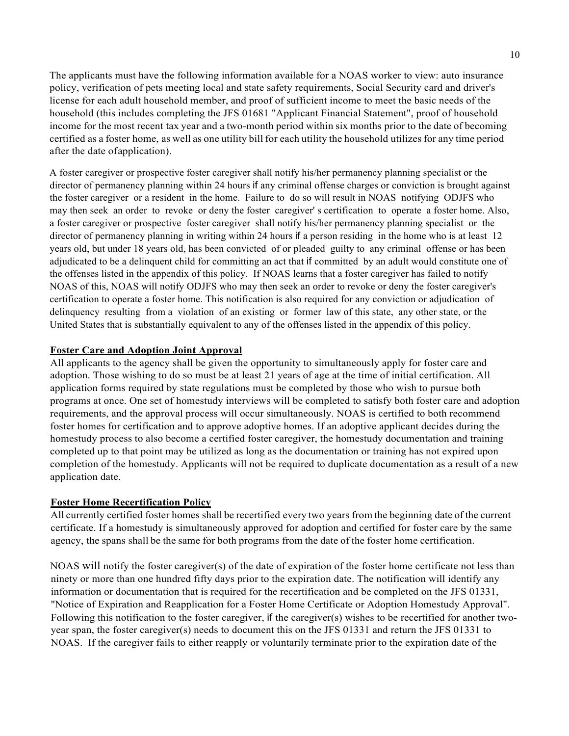The applicants must have the following information available for a NOAS worker to view: auto insurance policy, verification of pets meeting local and state safety requirements, Social Security card and driver's license for each adult household member, and proof of sufficient income to meet the basic needs of the household (this includes completing the JFS 01681 "Applicant Financial Statement", proof of household income for the most recent tax year and a two-month period within six months prior to the date of becoming certified as a foster home, as well as one utility bill for each utility the household utilizesfor any time period after the date ofapplication).

A foster caregiver or prospective foster caregiver shall notify his/her permanency planning specialist or the director of permanency planning within 24 hours if any criminal offense charges or conviction is brought against the foster caregiver or a resident in the home. Failure to do so will result in NOAS notifying ODJFS who may then seek an order to revoke or deny the foster caregiver' s certification to operate a foster home. Also, a foster caregiver or prospective foster caregiver shall notify his/her permanency planning specialist or the director of permanency planning in writing within 24 hours if a person residing in the home who is at least 12 years old, but under 18 years old, has been convicted of or pleaded guilty to any criminal offense or has been adjudicated to be a delinquent child for committing an act that if committed by an adult would constitute one of the offenses listed in the appendix of this policy. If NOAS learns that a foster caregiver has failed to notify NOAS of this, NOAS will notify ODJFS who may then seek an order to revoke or deny the foster caregiver's certification to operate a foster home. This notification is also required for any conviction or adjudication of delinquency resulting from a violation of an existing or former law of this state, any other state, or the United States that is substantially equivalent to any of the offenses listed in the appendix of this policy.

## **Foster Care and Adoption Joint Approval**

All applicants to the agency shall be given the opportunity to simultaneously apply for foster care and adoption. Those wishing to do so must be at least 21 years of age at the time of initial certification. All application forms required by state regulations must be completed by those who wish to pursue both programs at once. One set of homestudy interviews will be completed to satisfy both foster care and adoption requirements, and the approval process will occur simultaneously. NOAS is certified to both recommend foster homes for certification and to approve adoptive homes. If an adoptive applicant decides during the homestudy process to also become a certified foster caregiver, the homestudy documentation and training completed up to that point may be utilized as long as the documentation or training has not expired upon completion of the homestudy. Applicants will not be required to duplicate documentation as a result of a new application date.

### **Foster Home Recertification Policy**

All currently certified foster homes shall be recertified every two years from the beginning date of the current certificate. If a homestudy is simultaneously approved for adoption and certified for foster care by the same agency, the spans shall be the same for both programs from the date of the foster home certification.

NOAS will notify the foster caregiver(s) of the date of expiration of the foster home certificate not less than ninety or more than one hundred fifty days prior to the expiration date. The notification will identify any information or documentation that is required for the recertification and be completed on the JFS 01331, "Notice of Expiration and Reapplication for a Foster Home Certificate or Adoption Homestudy Approval". Following this notification to the foster caregiver, if the caregiver(s) wishes to be recertified for another twoyear span, the foster caregiver(s) needs to document this on the JFS 01331 and return the JFS 01331 to NOAS. If the caregiver fails to either reapply or voluntarily terminate prior to the expiration date of the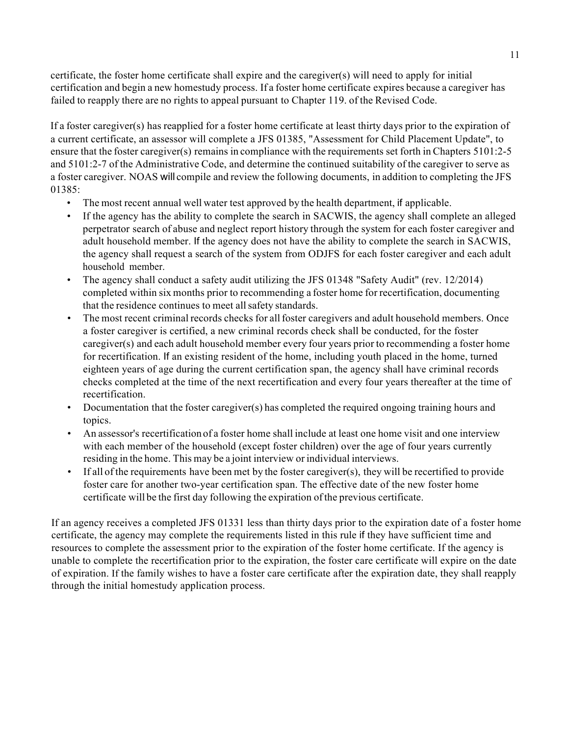certificate, the foster home certificate shall expire and the caregiver(s) will need to apply for initial certification and begin a new homestudy process. If a foster home certificate expires because a caregiver has failed to reapply there are no rights to appeal pursuant to Chapter 119. of the Revised Code.

If a foster caregiver(s) has reapplied for a foster home certificate at least thirty days prior to the expiration of a current certificate, an assessor will complete a JFS 01385, "Assessment for Child Placement Update", to ensure that the foster caregiver(s) remains in compliance with the requirements set forth in Chapters 5101:2-5 and 5101:2-7 of the Administrative Code, and determine the continued suitability of the caregiver to serve as a foster caregiver. NOAS will compile and review the following documents, in addition to completing the JFS 01385:

- The most recent annual well water test approved by the health department, if applicable.
- If the agency has the ability to complete the search in SACWIS, the agency shall complete an alleged perpetrator search of abuse and neglect report history through the system for each foster caregiver and adult household member. If the agency does not have the ability to complete the search in SACWIS, the agency shall request a search of the system from ODJFS for each foster caregiver and each adult household member.
- The agency shall conduct a safety audit utilizing the JFS 01348 "Safety Audit" (rev. 12/2014) completed within six months prior to recommending a foster home for recertification, documenting that the residence continues to meet allsafety standards.
- The most recent criminal records checks for all foster caregivers and adult household members. Once a foster caregiver is certified, a new criminal records check shall be conducted, for the foster caregiver(s) and each adult household member every four years prior to recommending a foster home for recertification. If an existing resident of the home, including youth placed in the home, turned eighteen years of age during the current certification span, the agency shall have criminal records checks completed at the time of the next recertification and every four years thereafter at the time of recertification.
- Documentation that the foster caregiver(s) has completed the required ongoing training hours and topics.
- An assessor's recertification of a foster home shall include at least one home visit and one interview with each member of the household (except foster children) over the age of four years currently residing in the home. This may be a joint interview or individual interviews.
- If all of the requirements have been met by the foster caregiver(s), they will be recertified to provide foster care for another two-year certification span. The effective date of the new foster home certificate will be the first day following the expiration ofthe previous certificate.

If an agency receives a completed JFS 01331 less than thirty days prior to the expiration date of a foster home certificate, the agency may complete the requirements listed in this rule if they have sufficient time and resources to complete the assessment prior to the expiration of the foster home certificate. If the agency is unable to complete the recertification prior to the expiration, the foster care certificate will expire on the date of expiration. If the family wishes to have a foster care certificate after the expiration date, they shall reapply through the initial homestudy application process.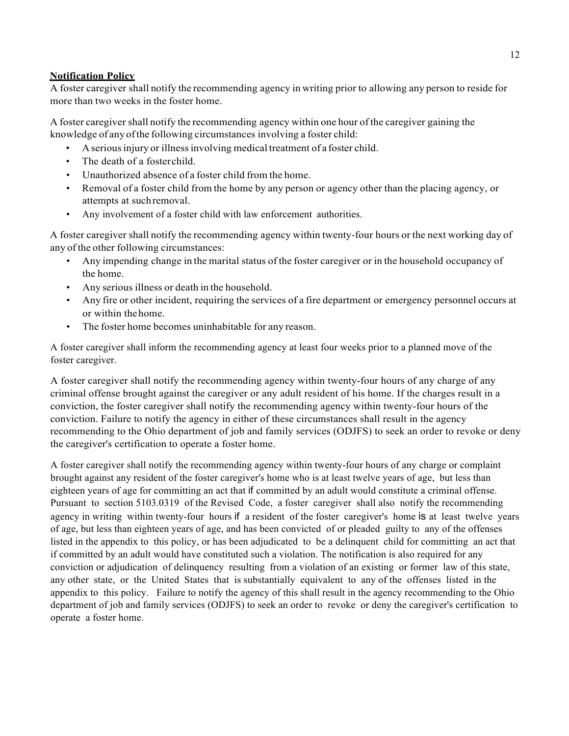## **Notification Policy**

A foster caregiver shall notify the recommending agency in writing prior to allowing any person to reside for more than two weeks in the foster home.

A foster caregiver shall notify the recommending agency within one hour of the caregiver gaining the knowledge of any of the following circumstances involving a foster child:

- Aseriousinjury or illnessinvolving medical treatment of a foster child.
- The death of a fosterchild.
- Unauthorized absence of a foster child from the home.
- Removal of a foster child from the home by any person or agency other than the placing agency, or attempts at suchremoval.
- Any involvement of a foster child with law enforcement authorities.

A foster caregiver shall notify the recommending agency within twenty-four hours or the next working day of any of the other following circumstances:

- Any impending change in the marital status of the foster caregiver or in the household occupancy of the home.
- Any serious illness or death in the household.
- Any fire or other incident, requiring the services of a fire department or emergency personnel occurs at or within thehome.
- The foster home becomes uninhabitable for any reason.

A foster caregiver shall inform the recommending agency at least four weeks prior to a planned move of the foster caregiver.

A foster caregiver shall notify the recommending agency within twenty-four hours of any charge of any criminal offense brought against the caregiver or any adult resident of his home. If the charges result in a conviction, the foster caregiver shall notify the recommending agency within twenty-four hours of the conviction. Failure to notify the agency in either of these circumstances shall result in the agency recommending to the Ohio department of job and family services (ODJFS) to seek an order to revoke or deny the caregiver's certification to operate a foster home.

A foster caregiver shall notify the recommending agency within twenty-four hours of any charge or complaint brought against any resident of the foster caregiver's home who is at least twelve years of age, but less than eighteen years of age for committing an act that if committed by an adult would constitute a criminal offense. Pursuant to section 5103.0319 of the Revised Code, a foster caregiver shall also notify the recommending agency in writing within twenty-four hours if a resident of the foster caregiver's home is at least twelve years of age, but less than eighteen years of age, and has been convicted of or pleaded guilty to any of the offenses listed in the appendix to this policy, or has been adjudicated to be a delinquent child for committing an act that if committed by an adult would have constituted such a violation. The notification is also required for any conviction or adjudication of delinquency resulting from a violation of an existing or former law of this state, any other state, or the United States that is substantially equivalent to any of the offenses listed in the appendix to this policy. Failure to notify the agency of this shall result in the agency recommending to the Ohio department of job and family services (ODJFS) to seek an order to revoke or deny the caregiver's certification to operate a foster home.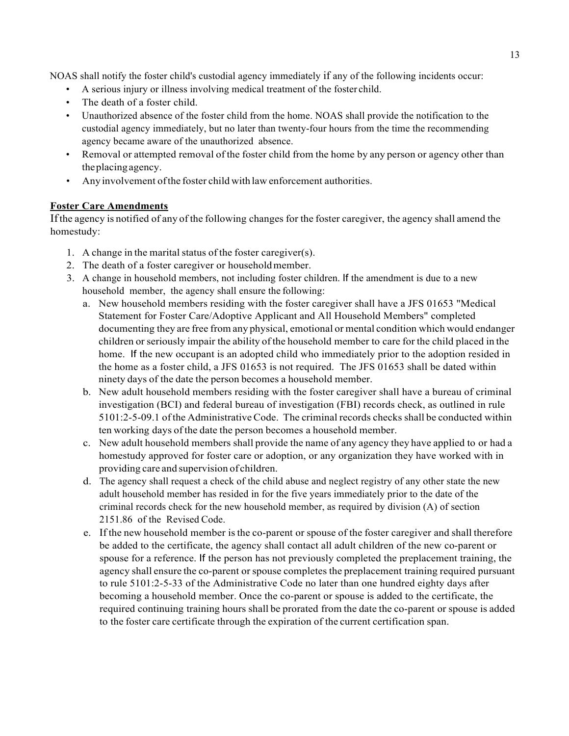NOAS shall notify the foster child's custodial agency immediately if any of the following incidents occur:

- A serious injury or illness involving medical treatment of the foster child.
- The death of a foster child.
- Unauthorized absence of the foster child from the home. NOAS shall provide the notification to the custodial agency immediately, but no later than twenty-four hours from the time the recommending agency became aware of the unauthorized absence.
- Removal or attempted removal of the foster child from the home by any person or agency other than theplacingagency.
- Any involvement ofthe foster child with law enforcement authorities.

# **Foster Care Amendments**

Ifthe agency is notified of any of the following changes for the foster caregiver, the agency shall amend the homestudy:

- 1. A change in the marital status of the foster caregiver(s).
- 2. The death of a foster caregiver or householdmember.
- 3. A change in household members, not including foster children. If the amendment is due to a new household member, the agency shall ensure the following:
	- a. New household members residing with the foster caregiver shall have a JFS 01653 "Medical Statement for Foster Care/Adoptive Applicant and All Household Members" completed documenting they are free from any physical, emotional or mental condition which would endanger children or seriously impair the ability of the household member to care for the child placed in the home. If the new occupant is an adopted child who immediately prior to the adoption resided in the home as a foster child, a JFS 01653 is not required. The JFS 01653 shall be dated within ninety days of the date the person becomes a household member.
	- b. New adult household members residing with the foster caregiver shall have a bureau of criminal investigation (BCI) and federal bureau of investigation (FBI) records check, as outlined in rule 5101:2-5-09.1 ofthe AdministrativeCode. The criminal records checks shall be conducted within ten working days of the date the person becomes a household member.
	- c. New adult household members shall provide the name of any agency they have applied to or had a homestudy approved for foster care or adoption, or any organization they have worked with in providing care and supervision of children.
	- d. The agency shall request a check of the child abuse and neglect registry of any other state the new adult household member has resided in for the five years immediately prior to the date of the criminal records check for the new household member, as required by division (A) of section 2151.86 of the Revised Code.
	- e. If the new household member isthe co-parent or spouse of the foster caregiver and shall therefore be added to the certificate, the agency shall contact all adult children of the new co-parent or spouse for a reference. If the person has not previously completed the preplacement training, the agency shall ensure the co-parent orspouse completes the preplacement training required pursuant to rule 5101:2-5-33 of the Administrative Code no later than one hundred eighty days after becoming a household member. Once the co-parent or spouse is added to the certificate, the required continuing training hours shall be prorated from the date the co-parent or spouse is added to the foster care certificate through the expiration of the current certification span.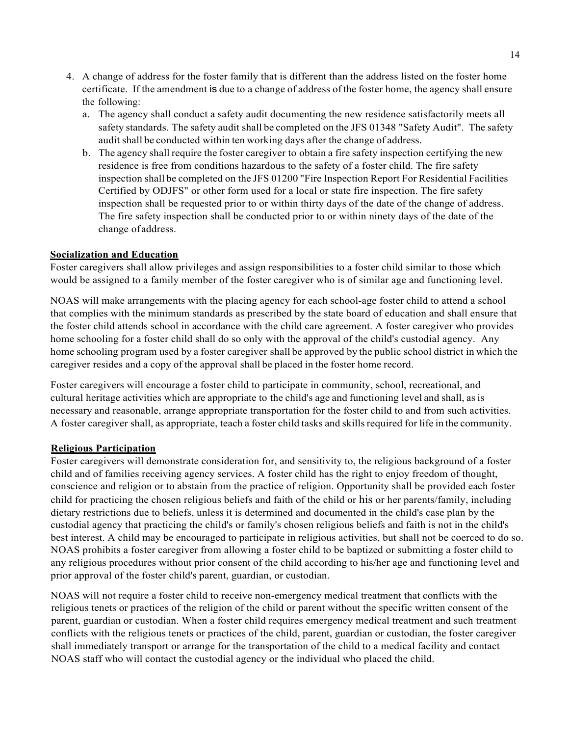- 4. A change of address for the foster family that is different than the address listed on the foster home certificate. If the amendment is due to a change of address of the foster home, the agency shall ensure the following:
	- a. The agency shall conduct a safety audit documenting the new residence satisfactorily meets all safety standards. The safety audit shall be completed on the JFS 01348 "Safety Audit". The safety audit shall be conducted within ten working days after the change of address.
	- b. The agency shall require the foster caregiver to obtain a fire safety inspection certifying the new residence is free from conditions hazardous to the safety of a foster child. The fire safety inspection shall be completed on the JFS 01200 "Fire Inspection Report For Residential Facilities Certified by ODJFS" or other form used for a local or state fire inspection. The fire safety inspection shall be requested prior to or within thirty days of the date of the change of address. The fire safety inspection shall be conducted prior to or within ninety days of the date of the change ofaddress.

## **Socialization and Education**

Foster caregivers shall allow privileges and assign responsibilities to a foster child similar to those which would be assigned to a family member of the foster caregiver who is of similar age and functioning level.

NOAS will make arrangements with the placing agency for each school-age foster child to attend a school that complies with the minimum standards as prescribed by the state board of education and shall ensure that the foster child attends school in accordance with the child care agreement. A foster caregiver who provides home schooling for a foster child shall do so only with the approval of the child's custodial agency. Any home schooling program used by a foster caregiver shall be approved by the public school district in which the caregiver resides and a copy of the approval shall be placed in the foster home record.

Foster caregivers will encourage a foster child to participate in community, school, recreational, and cultural heritage activities which are appropriate to the child's age and functioning level and shall, asis necessary and reasonable, arrange appropriate transportation for the foster child to and from such activities. A foster caregiver shall, as appropriate, teach a foster child tasks and skillsrequired for life in the community.

#### **Religious Participation**

Foster caregivers will demonstrate consideration for, and sensitivity to, the religious background of a foster child and of families receiving agency services. A foster child has the right to enjoy freedom of thought, conscience and religion or to abstain from the practice of religion. Opportunity shall be provided each foster child for practicing the chosen religious beliefs and faith of the child or his or her parents/family, including dietary restrictions due to beliefs, unless it is determined and documented in the child's case plan by the custodial agency that practicing the child's or family's chosen religious beliefs and faith is not in the child's best interest. A child may be encouraged to participate in religious activities, but shall not be coerced to do so. NOAS prohibits a foster caregiver from allowing a foster child to be baptized or submitting a foster child to any religious procedures without prior consent of the child according to his/her age and functioning level and prior approval of the foster child's parent, guardian, or custodian.

NOAS will not require a foster child to receive non-emergency medical treatment that conflicts with the religious tenets or practices of the religion of the child or parent without the specific written consent of the parent, guardian or custodian. When a foster child requires emergency medical treatment and such treatment conflicts with the religious tenets or practices of the child, parent, guardian or custodian, the foster caregiver shall immediately transport or arrange for the transportation of the child to a medical facility and contact NOAS staff who will contact the custodial agency or the individual who placed the child.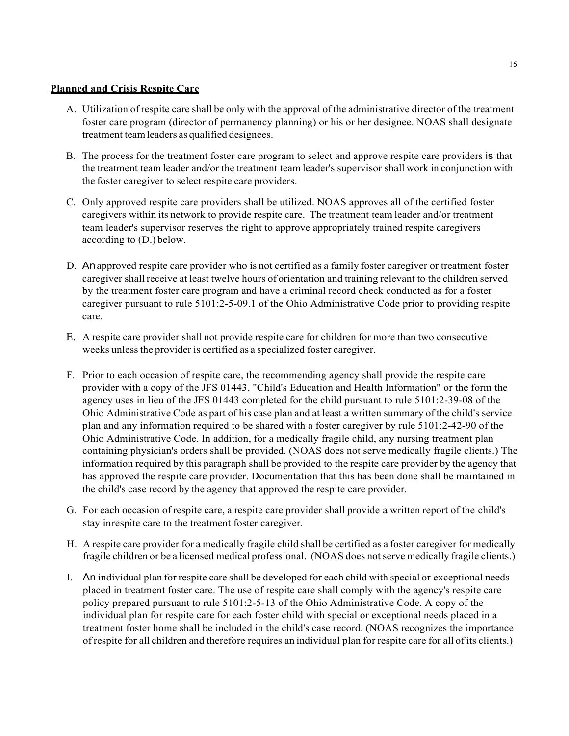### **Planned and Crisis Respite Care**

- A. Utilization of respite care shall be only with the approval of the administrative director of the treatment foster care program (director of permanency planning) or his or her designee. NOAS shall designate treatment teamleaders as qualified designees.
- B. The process for the treatment foster care program to select and approve respite care providers is that the treatment team leader and/or the treatment team leader's supervisor shall work in conjunction with the foster caregiver to select respite care providers.
- C. Only approved respite care providers shall be utilized. NOAS approves all of the certified foster caregivers within its network to provide respite care. The treatment team leader and/or treatment team leader's supervisor reserves the right to approve appropriately trained respite caregivers according to (D.) below.
- D. Anapproved respite care provider who is not certified as a family foster caregiver or treatment foster caregiver shallreceive at least twelve hours of orientation and training relevant to the children served by the treatment foster care program and have a criminal record check conducted as for a foster caregiver pursuant to rule 5101:2-5-09.1 of the Ohio Administrative Code prior to providing respite care.
- E. A respite care provider shall not provide respite care for children for more than two consecutive weeks unless the provider is certified as a specialized foster caregiver.
- F. Prior to each occasion of respite care, the recommending agency shall provide the respite care provider with a copy of the JFS 01443, "Child's Education and Health Information" or the form the agency uses in lieu of the JFS 01443 completed for the child pursuant to rule 5101:2-39-08 of the Ohio Administrative Code as part of his case plan and at least a written summary of the child's service plan and any information required to be shared with a foster caregiver by rule 5101:2-42-90 of the Ohio Administrative Code. In addition, for a medically fragile child, any nursing treatment plan containing physician's orders shall be provided. (NOAS does not serve medically fragile clients.) The information required by this paragraph shall be provided to the respite care provider by the agency that has approved the respite care provider. Documentation that this has been done shall be maintained in the child's case record by the agency that approved the respite care provider.
- G. For each occasion of respite care, a respite care provider shall provide a written report of the child's stay inrespite care to the treatment foster caregiver.
- H. A respite care provider for a medically fragile child shall be certified as a foster caregiver for medically fragile children or be a licensed medical professional. (NOAS does notserve medically fragile clients.)
- I. An individual plan for respite care shall be developed for each child with special or exceptional needs placed in treatment foster care. The use of respite care shall comply with the agency's respite care policy prepared pursuant to rule 5101:2-5-13 of the Ohio Administrative Code. A copy of the individual plan for respite care for each foster child with special or exceptional needs placed in a treatment foster home shall be included in the child's case record. (NOAS recognizes the importance of respite for all children and therefore requires an individual plan for respite care for all of its clients.)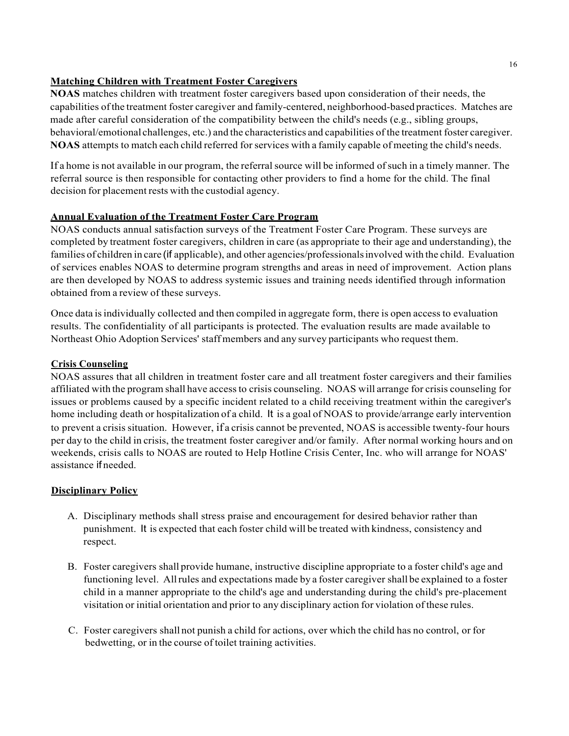## **Matching Children with Treatment Foster Caregivers**

**NOAS** matches children with treatment foster caregivers based upon consideration of their needs, the capabilities ofthe treatment foster caregiver and family-centered, neighborhood-based practices. Matches are made after careful consideration of the compatibility between the child's needs (e.g., sibling groups, behavioral/emotional challenges, etc.) and the characteristics and capabilities of the treatment foster caregiver. **NOAS** attempts to match each child referred for services with a family capable of meeting the child's needs.

If a home is not available in our program, the referralsource will be informed ofsuch in a timely manner. The referral source is then responsible for contacting other providers to find a home for the child. The final decision for placement rests with the custodial agency.

# **Annual Evaluation of the Treatment Foster Care Program**

NOAS conducts annual satisfaction surveys of the Treatment Foster Care Program. These surveys are completed by treatment foster caregivers, children in care (as appropriate to their age and understanding), the families of children in care (if applicable), and other agencies/professionalsinvolved with the child. Evaluation of services enables NOAS to determine program strengths and areas in need of improvement. Action plans are then developed by NOAS to address systemic issues and training needs identified through information obtained from a review of these surveys.

Once data isindividually collected and then compiled in aggregate form, there is open access to evaluation results. The confidentiality of all participants is protected. The evaluation results are made available to Northeast Ohio Adoption Services' staff members and any survey participants who request them.

# **Crisis Counseling**

NOAS assures that all children in treatment foster care and all treatment foster caregivers and their families affiliated with the program shall have accessto crisis counseling. NOAS will arrange for crisis counseling for issues or problems caused by a specific incident related to a child receiving treatment within the caregiver's home including death or hospitalization of a child. It is a goal of NOAS to provide/arrange early intervention to prevent a crisis situation. However, if a crisis cannot be prevented, NOAS is accessible twenty-four hours per day to the child in crisis, the treatment foster caregiver and/or family. After normal working hours and on weekends, crisis calls to NOAS are routed to Help Hotline Crisis Center, Inc. who will arrange for NOAS' assistance if needed.

# **Disciplinary Policy**

- A. Disciplinary methods shall stress praise and encouragement for desired behavior rather than punishment. It is expected that each foster child will be treated with kindness, consistency and respect.
- B. Foster caregivers shall provide humane, instructive discipline appropriate to a foster child's age and functioning level. Allrules and expectations made by a foster caregiver shall be explained to a foster child in a manner appropriate to the child's age and understanding during the child's pre-placement visitation or initial orientation and prior to any disciplinary action for violation of these rules.
- C. Foster caregivers shall not punish a child for actions, over which the child has no control, or for bedwetting, or in the course of toilet training activities.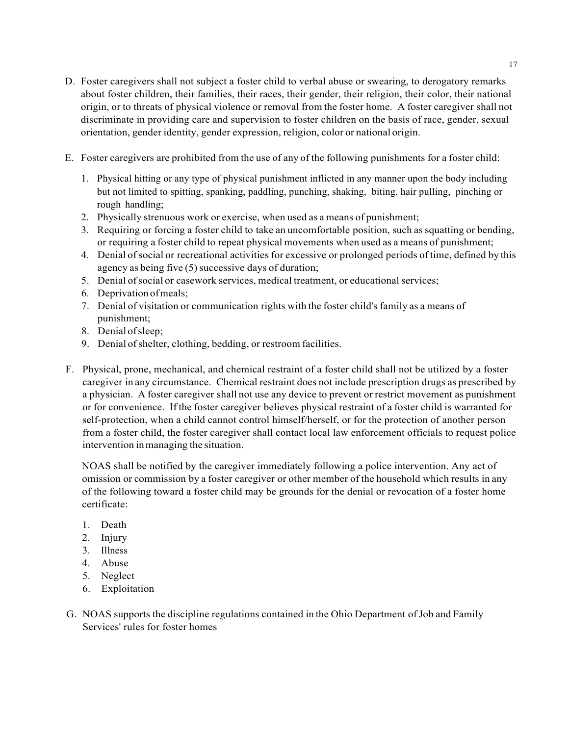- D. Foster caregivers shall not subject a foster child to verbal abuse or swearing, to derogatory remarks about foster children, their families, their races, their gender, their religion, their color, their national origin, or to threats of physical violence or removal from the foster home. A foster caregiver shall not discriminate in providing care and supervision to foster children on the basis of race, gender, sexual orientation, gender identity, gender expression, religion, color or national origin.
- E. Foster caregivers are prohibited from the use of any of the following punishments for a foster child:
	- 1. Physical hitting or any type of physical punishment inflicted in any manner upon the body including but not limited to spitting, spanking, paddling, punching, shaking, biting, hair pulling, pinching or rough handling;
	- 2. Physically strenuous work or exercise, when used as a means of punishment;
	- 3. Requiring or forcing a foster child to take an uncomfortable position, such assquatting or bending, or requiring a foster child to repeat physical movements when used as a means of punishment;
	- 4. Denial ofsocial or recreational activities for excessive or prolonged periods oftime, defined by this agency as being five  $(5)$  successive days of duration;
	- 5. Denial ofsocial or casework services, medical treatment, or educational services;
	- 6. Deprivation ofmeals;
	- 7. Denial of visitation or communication rights with the foster child's family as a means of punishment;
	- 8. Denial ofsleep;
	- 9. Denial ofshelter, clothing, bedding, or restroom facilities.
- F. Physical, prone, mechanical, and chemical restraint of a foster child shall not be utilized by a foster caregiver in any circumstance. Chemical restraint does not include prescription drugs as prescribed by a physician. A foster caregiver shall not use any device to prevent or restrict movement as punishment or for convenience. If the foster caregiver believes physical restraint of a foster child is warranted for self-protection, when a child cannot control himself/herself, or for the protection of another person from a foster child, the foster caregiver shall contact local law enforcement officials to request police intervention inmanaging the situation.

NOAS shall be notified by the caregiver immediately following a police intervention. Any act of omission or commission by a foster caregiver or other member of the household which results in any of the following toward a foster child may be grounds for the denial or revocation of a foster home certificate:

- 1. Death
- 2. Injury
- 3. Illness
- 4. Abuse
- 5. Neglect
- 6. Exploitation
- G. NOAS supports the discipline regulations contained in the Ohio Department ofJob and Family Services' rules for foster homes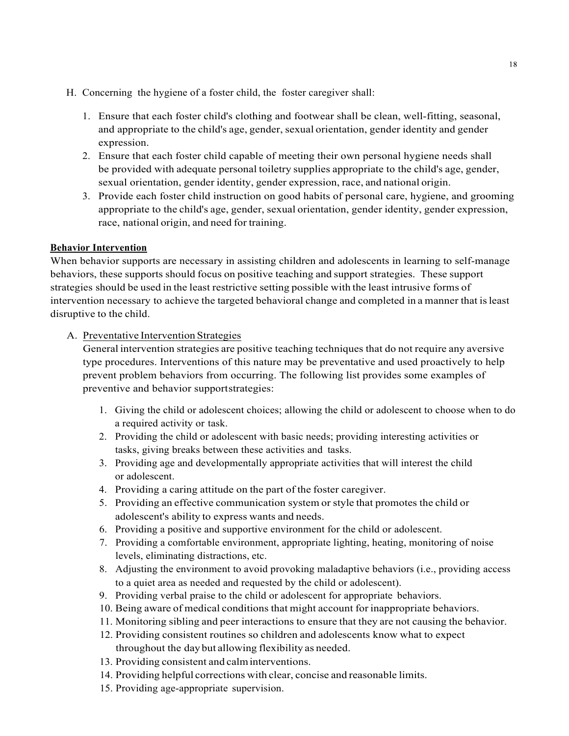- H. Concerning the hygiene of a foster child, the foster caregiver shall:
	- 1. Ensure that each foster child's clothing and footwear shall be clean, well-fitting, seasonal, and appropriate to the child's age, gender, sexual orientation, gender identity and gender expression.
	- 2. Ensure that each foster child capable of meeting their own personal hygiene needs shall be provided with adequate personal toiletry supplies appropriate to the child's age, gender, sexual orientation, gender identity, gender expression, race, and national origin.
	- 3. Provide each foster child instruction on good habits of personal care, hygiene, and grooming appropriate to the child's age, gender, sexual orientation, gender identity, gender expression, race, national origin, and need for training.

# **Behavior Intervention**

When behavior supports are necessary in assisting children and adolescents in learning to self-manage behaviors, these supports should focus on positive teaching and support strategies. These support strategies should be used in the least restrictive setting possible with the least intrusive forms of intervention necessary to achieve the targeted behavioral change and completed in a manner that isleast disruptive to the child.

## A. Preventative Intervention Strategies

General intervention strategies are positive teaching techniques that do not require any aversive type procedures. Interventions of this nature may be preventative and used proactively to help prevent problem behaviors from occurring. The following list provides some examples of preventive and behavior supportstrategies:

- 1. Giving the child or adolescent choices; allowing the child or adolescent to choose when to do a required activity or task.
- 2. Providing the child or adolescent with basic needs; providing interesting activities or tasks, giving breaks between these activities and tasks.
- 3. Providing age and developmentally appropriate activities that will interest the child or adolescent.
- 4. Providing a caring attitude on the part of the foster caregiver.
- 5. Providing an effective communication system or style that promotes the child or adolescent's ability to express wants and needs.
- 6. Providing a positive and supportive environment for the child or adolescent.
- 7. Providing a comfortable environment, appropriate lighting, heating, monitoring of noise levels, eliminating distractions, etc.
- 8. Adjusting the environment to avoid provoking maladaptive behaviors (i.e., providing access to a quiet area as needed and requested by the child or adolescent).
- 9. Providing verbal praise to the child or adolescent for appropriate behaviors.
- 10. Being aware of medical conditions that might account for inappropriate behaviors.
- 11. Monitoring sibling and peer interactions to ensure that they are not causing the behavior.
- 12. Providing consistent routines so children and adolescents know what to expect throughout the day but allowing flexibility as needed.
- 13. Providing consistent and calminterventions.
- 14. Providing helpful corrections with clear, concise and reasonable limits.
- 15. Providing age-appropriate supervision.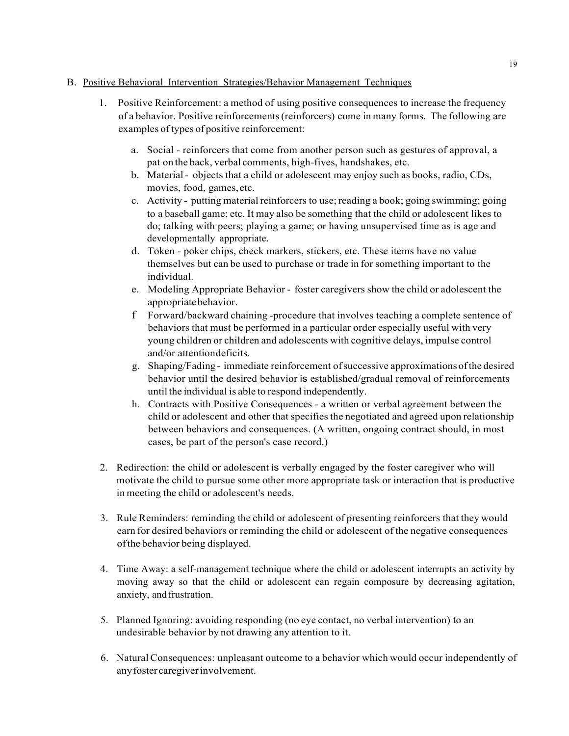## B. Positive Behavioral Intervention Strategies/Behavior Management Techniques

- 1. Positive Reinforcement: a method of using positive consequences to increase the frequency of a behavior. Positive reinforcements(reinforcers) come in many forms. The following are examples of types of positive reinforcement:
	- a. Social reinforcers that come from another person such as gestures of approval, a pat on the back, verbal comments, high-fives, handshakes, etc.
	- b. Material- objects that a child or adolescent may enjoy such as books, radio, CDs, movies, food, games,etc.
	- c. Activity putting material reinforcers to use;reading a book; going swimming; going to a baseball game; etc. It may also be something that the child or adolescent likes to do; talking with peers; playing a game; or having unsupervised time as is age and developmentally appropriate.
	- d. Token poker chips, check markers, stickers, etc. These items have no value themselves but can be used to purchase or trade in for something important to the individual.
	- e. Modeling Appropriate Behavior foster caregivers show the child or adolescent the appropriatebehavior.
	- f Forward/backward chaining -procedure that involves teaching a complete sentence of behaviors that must be performed in a particular order especially useful with very young children or children and adolescents with cognitive delays, impulse control and/or attentiondeficits.
	- g. Shaping/Fading- immediate reinforcement ofsuccessive approximations ofthe desired behavior until the desired behavior is established/gradual removal of reinforcements until the individual is able to respond independently.
	- h. Contracts with Positive Consequences a written or verbal agreement between the child or adolescent and other that specifies the negotiated and agreed upon relationship between behaviors and consequences. (A written, ongoing contract should, in most cases, be part of the person's case record.)
- 2. Redirection: the child or adolescent is verbally engaged by the foster caregiver who will motivate the child to pursue some other more appropriate task or interaction that is productive in meeting the child or adolescent's needs.
- 3. Rule Reminders: reminding the child or adolescent of presenting reinforcers that they would earn for desired behaviors or reminding the child or adolescent of the negative consequences ofthe behavior being displayed.
- 4. Time Away: a self-management technique where the child or adolescent interrupts an activity by moving away so that the child or adolescent can regain composure by decreasing agitation, anxiety, and frustration.
- 5. Planned Ignoring: avoiding responding (no eye contact, no verbal intervention) to an undesirable behavior by not drawing any attention to it.
- 6. NaturalConsequences: unpleasant outcome to a behavior which would occur independently of anyfoster caregiverinvolvement.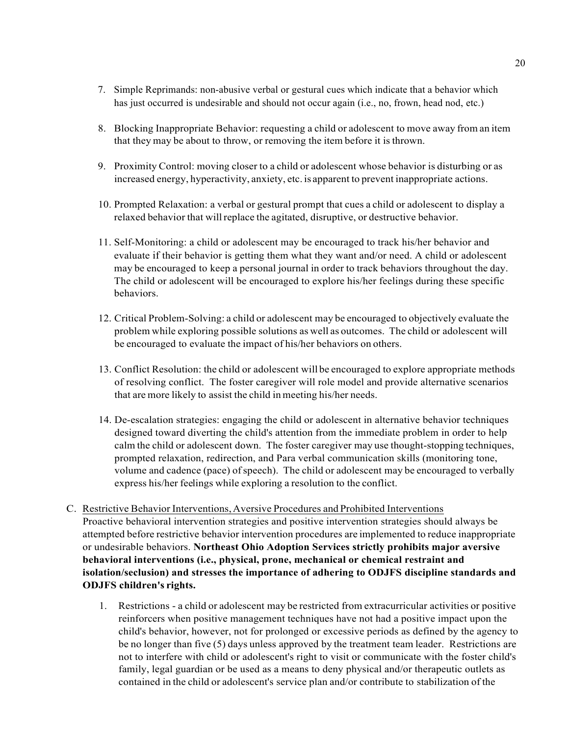- 7. Simple Reprimands: non-abusive verbal or gestural cues which indicate that a behavior which has just occurred is undesirable and should not occur again (i.e., no, frown, head nod, etc.)
- 8. Blocking Inappropriate Behavior: requesting a child or adolescent to move away from an item that they may be about to throw, or removing the item before it isthrown.
- 9. Proximity Control: moving closer to a child or adolescent whose behavior is disturbing or as increased energy, hyperactivity, anxiety, etc. is apparent to prevent inappropriate actions.
- 10. Prompted Relaxation: a verbal or gestural prompt that cues a child or adolescent to display a relaxed behavior that will replace the agitated, disruptive, or destructive behavior.
- 11. Self-Monitoring: a child or adolescent may be encouraged to track his/her behavior and evaluate if their behavior is getting them what they want and/or need. A child or adolescent may be encouraged to keep a personal journal in order to track behaviors throughout the day. The child or adolescent will be encouraged to explore his/her feelings during these specific behaviors.
- 12. Critical Problem-Solving: a child or adolescent may be encouraged to objectively evaluate the problem while exploring possible solutions as well as outcomes. The child or adolescent will be encouraged to evaluate the impact of his/her behaviors on others.
- 13. Conflict Resolution: the child or adolescent will be encouraged to explore appropriate methods of resolving conflict. The foster caregiver will role model and provide alternative scenarios that are more likely to assist the child inmeeting his/her needs.
- 14. De-escalation strategies: engaging the child or adolescent in alternative behavior techniques designed toward diverting the child's attention from the immediate problem in order to help calm the child or adolescent down. The foster caregiver may use thought-stopping techniques, prompted relaxation, redirection, and Para verbal communication skills (monitoring tone, volume and cadence (pace) of speech). The child or adolescent may be encouraged to verbally express his/her feelings while exploring a resolution to the conflict.
- C. Restrictive Behavior Interventions,Aversive Procedures and Prohibited Interventions Proactive behavioral intervention strategies and positive intervention strategies should always be attempted before restrictive behavior intervention procedures are implemented to reduce inappropriate or undesirable behaviors. **Northeast Ohio Adoption Services strictly prohibits major aversive behavioral interventions (i.e., physical, prone, mechanical or chemical restraint and isolation/seclusion) and stresses the importance of adhering to ODJFS discipline standards and ODJFS children's rights.**
	- 1. Restrictions a child or adolescent may be restricted from extracurricular activities or positive reinforcers when positive management techniques have not had a positive impact upon the child's behavior, however, not for prolonged or excessive periods as defined by the agency to be no longer than five (5) days unless approved by the treatment team leader. Restrictions are not to interfere with child or adolescent's right to visit or communicate with the foster child's family, legal guardian or be used as a means to deny physical and/or therapeutic outlets as contained in the child or adolescent's service plan and/or contribute to stabilization of the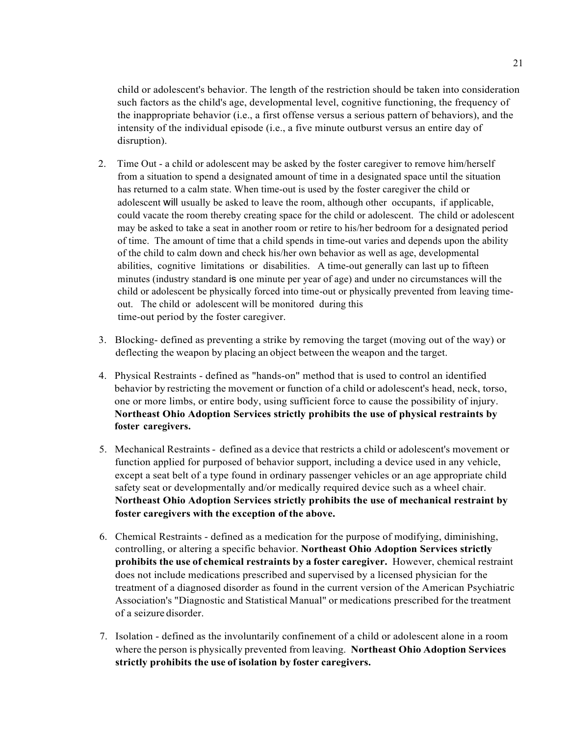child or adolescent's behavior. The length of the restriction should be taken into consideration such factors as the child's age, developmental level, cognitive functioning, the frequency of the inappropriate behavior (i.e., a first offense versus a serious pattern of behaviors), and the intensity of the individual episode (i.e., a five minute outburst versus an entire day of disruption).

- 2. Time Out a child or adolescent may be asked by the foster caregiver to remove him/herself from a situation to spend a designated amount of time in a designated space until the situation has returned to a calm state. When time-out is used by the foster caregiver the child or adolescent will usually be asked to leave the room, although other occupants, if applicable, could vacate the room thereby creating space for the child or adolescent. The child or adolescent may be asked to take a seat in another room or retire to his/her bedroom for a designated period of time. The amount of time that a child spends in time-out varies and depends upon the ability of the child to calm down and check his/her own behavior as well as age, developmental abilities, cognitive limitations or disabilities. A time-out generally can last up to fifteen minutes (industry standard is one minute per year of age) and under no circumstances will the child or adolescent be physically forced into time-out or physically prevented from leaving timeout. The child or adolescent will be monitored during this time-out period by the foster caregiver.
- 3. Blocking- defined as preventing a strike by removing the target (moving out of the way) or deflecting the weapon by placing an object between the weapon and the target.
- 4. Physical Restraints defined as "hands-on" method that is used to control an identified behavior by restricting the movement or function of a child or adolescent's head, neck, torso, one or more limbs, or entire body, using sufficient force to cause the possibility of injury. **Northeast Ohio Adoption Services strictly prohibits the use of physical restraints by foster caregivers.**
- 5. Mechanical Restraints defined as a device that restricts a child or adolescent's movement or function applied for purposed of behavior support, including a device used in any vehicle, except a seat belt of a type found in ordinary passenger vehicles or an age appropriate child safety seat or developmentally and/or medically required device such as a wheel chair. **Northeast Ohio Adoption Services strictly prohibits the use of mechanical restraint by foster caregivers with the exception of the above.**
- 6. Chemical Restraints defined as a medication for the purpose of modifying, diminishing, controlling, or altering a specific behavior. **Northeast Ohio Adoption Services strictly prohibits the use of chemical restraints by a foster caregiver.** However, chemical restraint does not include medications prescribed and supervised by a licensed physician for the treatment of a diagnosed disorder as found in the current version of the American Psychiatric Association's "Diagnostic and Statistical Manual" or medications prescribed for the treatment of a seizure disorder.
- 7. Isolation defined as the involuntarily confinement of a child or adolescent alone in a room where the person is physically prevented from leaving. **Northeast Ohio Adoption Services strictly prohibits the use of isolation by foster caregivers.**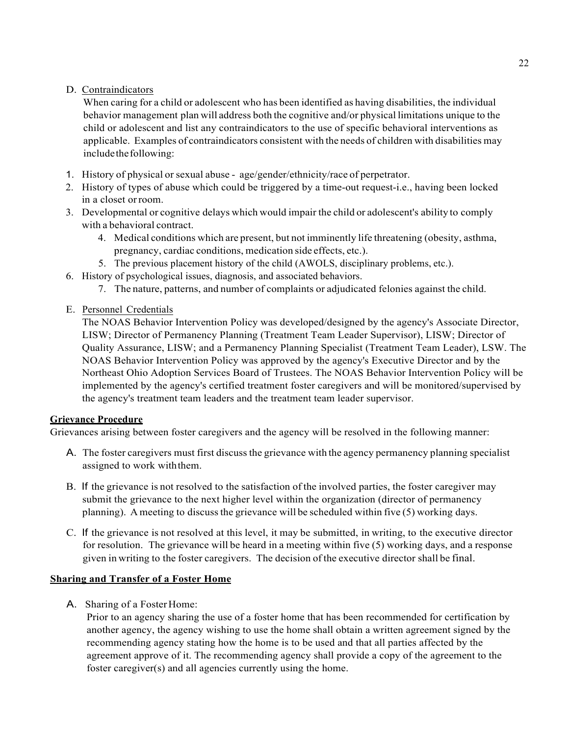# D. Contraindicators

When caring for a child or adolescent who has been identified as having disabilities, the individual behavior management plan will address both the cognitive and/or physical limitations unique to the child or adolescent and list any contraindicators to the use of specific behavioral interventions as applicable. Examples of contraindicators consistent with the needs of children with disabilities may include the following:

- 1. History of physical or sexual abuse age/gender/ethnicity/race of perpetrator.
- 2. History of types of abuse which could be triggered by a time-out request-i.e., having been locked in a closet orroom.
- 3. Developmental or cognitive delays which would impair the child or adolescent's ability to comply with a behavioral contract.
	- 4. Medical conditions which are present, but not imminently life threatening (obesity, asthma, pregnancy, cardiac conditions, medication side effects, etc.).
	- 5. The previous placement history of the child (AWOLS, disciplinary problems, etc.).
- 6. History of psychological issues, diagnosis, and associated behaviors.
	- 7. The nature, patterns, and number of complaints or adjudicated felonies against the child.
- E. Personnel Credentials

The NOAS Behavior Intervention Policy was developed/designed by the agency's Associate Director, LISW; Director of Permanency Planning (Treatment Team Leader Supervisor), LISW; Director of Quality Assurance, LISW; and a Permanency Planning Specialist (Treatment Team Leader), LSW. The NOAS Behavior Intervention Policy was approved by the agency's Executive Director and by the Northeast Ohio Adoption Services Board of Trustees. The NOAS Behavior Intervention Policy will be implemented by the agency's certified treatment foster caregivers and will be monitored/supervised by the agency's treatment team leaders and the treatment team leader supervisor.

# **Grievance Procedure**

Grievances arising between foster caregivers and the agency will be resolved in the following manner:

- A. The foster caregivers must first discuss the grievance with the agency permanency planning specialist assigned to work withthem.
- B. If the grievance is not resolved to the satisfaction of the involved parties, the foster caregiver may submit the grievance to the next higher level within the organization (director of permanency planning). A meeting to discuss the grievance will be scheduled within five  $(5)$  working days.
- C. If the grievance is not resolved at this level, it may be submitted, in writing, to the executive director for resolution. The grievance will be heard in a meeting within five (5) working days, and a response given in writing to the foster caregivers. The decision of the executive director shall be final.

# **Sharing and Transfer of a Foster Home**

A. Sharing of a FosterHome:

Prior to an agency sharing the use of a foster home that has been recommended for certification by another agency, the agency wishing to use the home shall obtain a written agreement signed by the recommending agency stating how the home is to be used and that all parties affected by the agreement approve of it. The recommending agency shall provide a copy of the agreement to the foster caregiver(s) and all agencies currently using the home.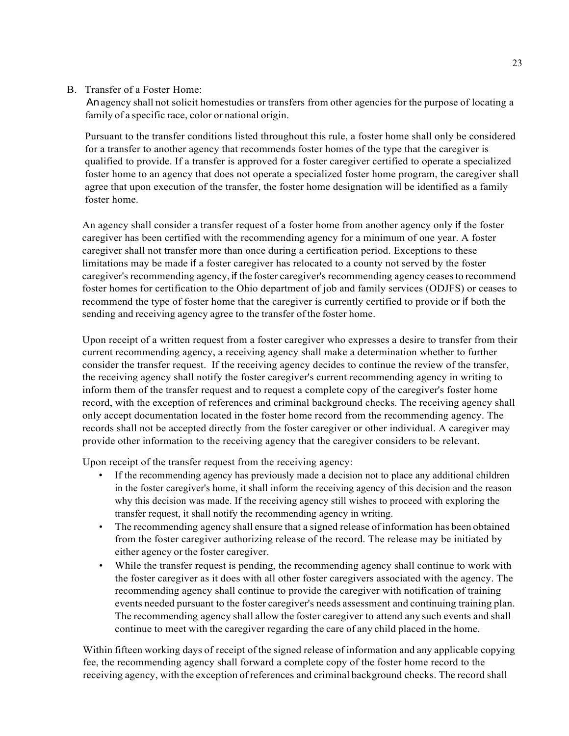## B. Transfer of a Foster Home:

Anagency shall not solicit homestudies or transfers from other agencies for the purpose of locating a family of a specific race, color or national origin.

Pursuant to the transfer conditions listed throughout this rule, a foster home shall only be considered for a transfer to another agency that recommends foster homes of the type that the caregiver is qualified to provide. If a transfer is approved for a foster caregiver certified to operate a specialized foster home to an agency that does not operate a specialized foster home program, the caregiver shall agree that upon execution of the transfer, the foster home designation will be identified as a family foster home.

An agency shall consider a transfer request of a foster home from another agency only if the foster caregiver has been certified with the recommending agency for a minimum of one year. A foster caregiver shall not transfer more than once during a certification period. Exceptions to these limitations may be made if a foster caregiver has relocated to a county not served by the foster caregiver's recommending agency, if the foster caregiver's recommending agency ceasesto recommend foster homes for certification to the Ohio department of job and family services (ODJFS) or ceases to recommend the type of foster home that the caregiver is currently certified to provide or if both the sending and receiving agency agree to the transfer of the foster home.

Upon receipt of a written request from a foster caregiver who expresses a desire to transfer from their current recommending agency, a receiving agency shall make a determination whether to further consider the transfer request. If the receiving agency decides to continue the review of the transfer, the receiving agency shall notify the foster caregiver's current recommending agency in writing to inform them of the transfer request and to request a complete copy of the caregiver's foster home record, with the exception of references and criminal background checks. The receiving agency shall only accept documentation located in the foster home record from the recommending agency. The records shall not be accepted directly from the foster caregiver or other individual. A caregiver may provide other information to the receiving agency that the caregiver considers to be relevant.

Upon receipt of the transfer request from the receiving agency:

- If the recommending agency has previously made a decision not to place any additional children in the foster caregiver's home, it shall inform the receiving agency of this decision and the reason why this decision was made. If the receiving agency still wishes to proceed with exploring the transfer request, it shall notify the recommending agency in writing.
- The recommending agency shall ensure that a signed release of information has been obtained from the foster caregiver authorizing release of the record. The release may be initiated by either agency or the foster caregiver.
- While the transfer request is pending, the recommending agency shall continue to work with the foster caregiver as it does with all other foster caregivers associated with the agency. The recommending agency shall continue to provide the caregiver with notification of training events needed pursuant to the foster caregiver's needs assessment and continuing training plan. The recommending agency shall allow the foster caregiver to attend any such events and shall continue to meet with the caregiver regarding the care of any child placed in the home.

Within fifteen working days of receipt of the signed release of information and any applicable copying fee, the recommending agency shall forward a complete copy of the foster home record to the receiving agency, with the exception ofreferences and criminal background checks. The record shall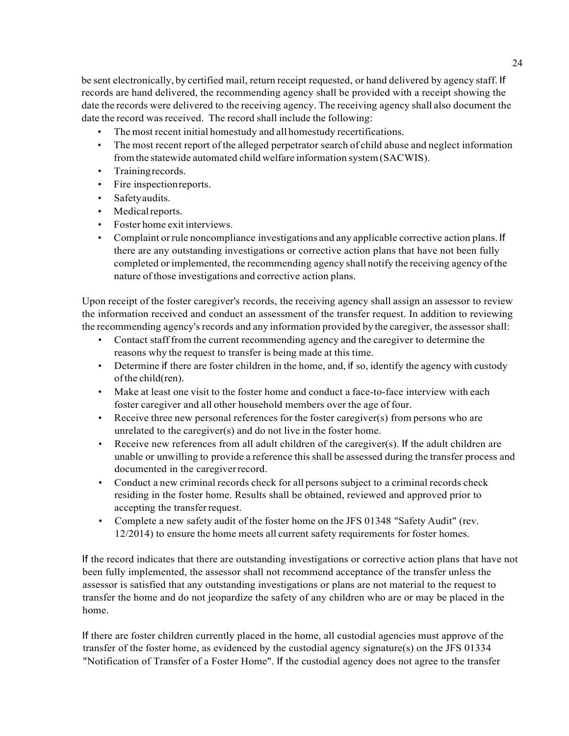be sent electronically, by certified mail, return receipt requested, or hand delivered by agency staff. If records are hand delivered, the recommending agency shall be provided with a receipt showing the date the records were delivered to the receiving agency. The receiving agency shall also document the date the record was received. The record shall include the following:

- The most recent initial homestudy and all homestudy recertifications.
- The most recent report of the alleged perpetrator search of child abuse and neglect information fromthe statewide automated child welfare information system(SACWIS).
- Trainingrecords.
- Fire inspectionreports.
- Safetyaudits.
- Medical reports.
- Foster home exit interviews.
- Complaint orrule noncompliance investigations and any applicable corrective action plans. If there are any outstanding investigations or corrective action plans that have not been fully completed or implemented, the recommending agency shall notify the receiving agency ofthe nature ofthose investigations and corrective action plans.

Upon receipt of the foster caregiver's records, the receiving agency shall assign an assessor to review the information received and conduct an assessment of the transfer request. In addition to reviewing the recommending agency's records and any information provided by the caregiver, the assessor shall:

- Contact staff from the current recommending agency and the caregiver to determine the reasons why the request to transfer is being made at this time.
- Determine if there are foster children in the home, and, if so, identify the agency with custody ofthe child(ren).
- Make at least one visit to the foster home and conduct a face-to-face interview with each foster caregiver and all other household members over the age of four.
- Receive three new personal references for the foster caregiver(s) from persons who are unrelated to the caregiver(s) and do not live in the foster home.
- Receive new references from all adult children of the caregiver(s). If the adult children are unable or unwilling to provide a reference this shall be assessed during the transfer process and documented in the caregiverrecord.
- Conduct a new criminal records check for all persons subject to a criminal records check residing in the foster home. Results shall be obtained, reviewed and approved prior to accepting the transferrequest.
- Complete a new safety audit of the foster home on the JFS 01348 "Safety Audit" (rev. 12/2014) to ensure the home meets all current safety requirements for foster homes.

If the record indicates that there are outstanding investigations or corrective action plans that have not been fully implemented, the assessor shall not recommend acceptance of the transfer unless the assessor is satisfied that any outstanding investigations or plans are not material to the request to transfer the home and do not jeopardize the safety of any children who are or may be placed in the home.

If there are foster children currently placed in the home, all custodial agencies must approve of the transfer of the foster home, as evidenced by the custodial agency signature(s) on the JFS 01334 "Notification of Transfer of a Foster Home". If the custodial agency does not agree to the transfer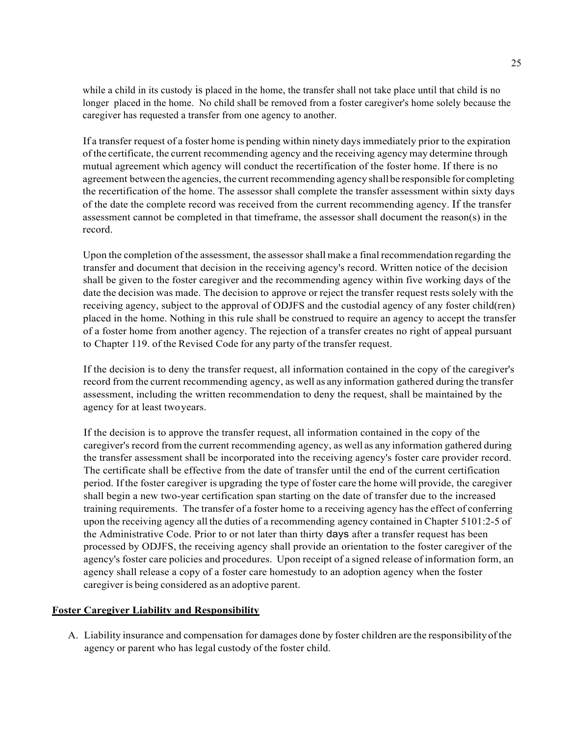while a child in its custody is placed in the home, the transfer shall not take place until that child is no longer placed in the home. No child shall be removed from a foster caregiver's home solely because the caregiver has requested a transfer from one agency to another.

If a transfer request of a foster home is pending within ninety days immediately prior to the expiration ofthe certificate, the current recommending agency and the receiving agency may determine through mutual agreement which agency will conduct the recertification of the foster home. If there is no agreement between the agencies, the current recommending agency shallbe responsible for completing the recertification of the home. The assessor shall complete the transfer assessment within sixty days of the date the complete record was received from the current recommending agency. If the transfer assessment cannot be completed in that timeframe, the assessor shall document the reason(s) in the record.

Upon the completion of the assessment, the assessor shall make a final recommendation regarding the transfer and document that decision in the receiving agency's record. Written notice of the decision shall be given to the foster caregiver and the recommending agency within five working days of the date the decision was made. The decision to approve or reject the transfer request rests solely with the receiving agency, subject to the approval of ODJFS and the custodial agency of any foster child(ren) placed in the home. Nothing in this rule shall be construed to require an agency to accept the transfer of a foster home from another agency. The rejection of a transfer creates no right of appeal pursuant to Chapter 119. of the Revised Code for any party of the transfer request.

If the decision is to deny the transfer request, all information contained in the copy of the caregiver's record from the current recommending agency, as well as any information gathered during the transfer assessment, including the written recommendation to deny the request, shall be maintained by the agency for at least twoyears.

If the decision is to approve the transfer request, all information contained in the copy of the caregiver's record from the current recommending agency, as well as any information gathered during the transfer assessment shall be incorporated into the receiving agency's foster care provider record. The certificate shall be effective from the date of transfer until the end of the current certification period. If the foster caregiver is upgrading the type of foster care the home will provide, the caregiver shall begin a new two-year certification span starting on the date of transfer due to the increased training requirements. The transfer of a foster home to a receiving agency hasthe effect of conferring upon the receiving agency all the duties of a recommending agency contained in Chapter 5101:2-5 of the Administrative Code. Prior to or not later than thirty days after a transfer request has been processed by ODJFS, the receiving agency shall provide an orientation to the foster caregiver of the agency's foster care policies and procedures. Upon receipt of a signed release of information form, an agency shall release a copy of a foster care homestudy to an adoption agency when the foster caregiver is being considered as an adoptive parent.

## **Foster Caregiver Liability and Responsibility**

A. Liability insurance and compensation for damages done by foster children are the responsibilityofthe agency or parent who has legal custody of the foster child.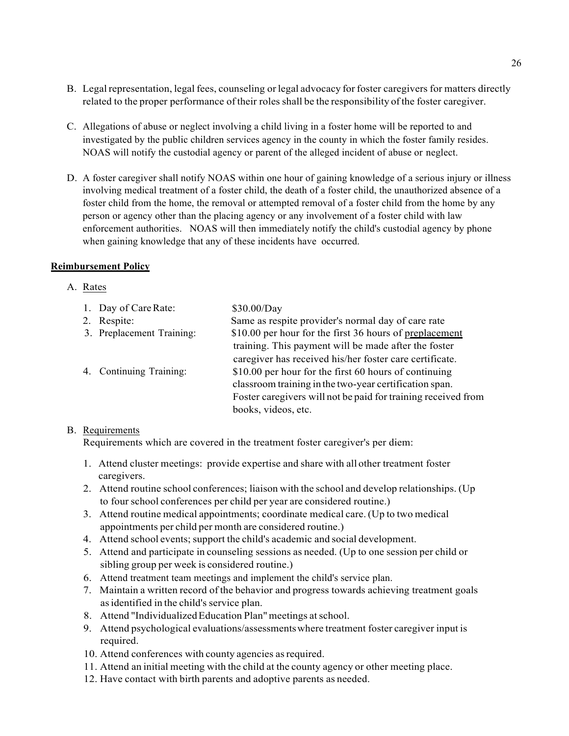- B. Legal representation, legal fees, counseling or legal advocacy for foster caregivers for matters directly related to the proper performance of their roles shall be the responsibility ofthe foster caregiver.
- C. Allegations of abuse or neglect involving a child living in a foster home will be reported to and investigated by the public children services agency in the county in which the foster family resides. NOAS will notify the custodial agency or parent of the alleged incident of abuse or neglect.
- D. A foster caregiver shall notify NOAS within one hour of gaining knowledge of a serious injury or illness involving medical treatment of a foster child, the death of a foster child, the unauthorized absence of a foster child from the home, the removal or attempted removal of a foster child from the home by any person or agency other than the placing agency or any involvement of a foster child with law enforcement authorities. NOAS will then immediately notify the child's custodial agency by phone when gaining knowledge that any of these incidents have occurred.

### **Reimbursement Policy**

### A. Rates

| 1. Day of Care Rate:      | \$30.00/Day                                                   |
|---------------------------|---------------------------------------------------------------|
| 2. Respite:               | Same as respite provider's normal day of care rate            |
| 3. Preplacement Training: | \$10.00 per hour for the first 36 hours of preplacement       |
|                           | training. This payment will be made after the foster          |
|                           | caregiver has received his/her foster care certificate.       |
| 4. Continuing Training:   | \$10.00 per hour for the first 60 hours of continuing         |
|                           | classroom training in the two-year certification span.        |
|                           | Foster caregivers will not be paid for training received from |
|                           | books, videos, etc.                                           |

## B. Requirements

Requirements which are covered in the treatment foster caregiver's per diem:

- 1. Attend cluster meetings: provide expertise and share with all other treatment foster caregivers.
- 2. Attend routine school conferences; liaison with the school and develop relationships. (Up to fourschool conferences per child per year are considered routine.)
- 3. Attend routine medical appointments; coordinate medical care. (Up to two medical appointments per child per month are considered routine.)
- 4. Attend school events; support the child's academic and social development.
- 5. Attend and participate in counseling sessions as needed. (Up to one session per child or sibling group per week is considered routine.)
- 6. Attend treatment team meetings and implement the child's service plan.
- 7. Maintain a written record of the behavior and progress towards achieving treatment goals asidentified in the child's service plan.
- 8. Attend "Individualized Education Plan" meetings at school.
- 9. Attend psychological evaluations/assessmentswhere treatment foster caregiver input is required.
- 10. Attend conferences with county agencies asrequired.
- 11. Attend an initial meeting with the child at the county agency or other meeting place.
- 12. Have contact with birth parents and adoptive parents as needed.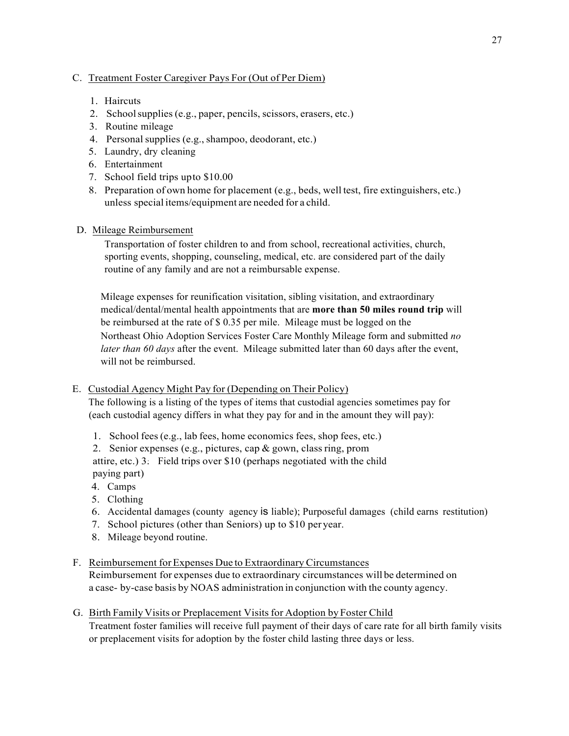## C. Treatment Foster Caregiver Pays For (Out of Per Diem)

- 1. Haircuts
- 2. Schoolsupplies (e.g., paper, pencils, scissors, erasers, etc.)
- 3. Routine mileage
- 4. Personalsupplies (e.g.,shampoo, deodorant, etc.)
- 5. Laundry, dry cleaning
- 6. Entertainment
- 7. School field trips upto \$10.00
- 8. Preparation of own home for placement (e.g., beds, well test, fire extinguishers, etc.) unless special items/equipment are needed for a child.
- D. Mileage Reimbursement

Transportation of foster children to and from school, recreational activities, church, sporting events, shopping, counseling, medical, etc. are considered part of the daily routine of any family and are not a reimbursable expense.

Mileage expenses for reunification visitation, sibling visitation, and extraordinary medical/dental/mental health appointments that are **more than 50 miles round trip** will be reimbursed at the rate of \$ 0.35 per mile. Mileage must be logged on the Northeast Ohio Adoption Services Foster Care Monthly Mileage form and submitted *no later than 60 days* after the event. Mileage submitted later than 60 days after the event, will not be reimbursed.

## E. Custodial Agency Might Pay for (Depending on Their Policy)

The following is a listing of the types of items that custodial agencies sometimes pay for (each custodial agency differs in what they pay for and in the amount they will pay):

1. School fees(e.g., lab fees, home economics fees, shop fees, etc.)

2. Senior expenses (e.g., pictures, cap & gown, classring, prom attire, etc.) 3. Field trips over  $$10$  (perhaps negotiated with the child paying part)

- 4. Camps
- 5. Clothing
- 6. Accidental damages (county agency is liable); Purposeful damages (child earns restitution)
- 7. School pictures (other than Seniors) up to \$10 per year.
- 8. Mileage beyond routine.

# F. Reimbursement forExpenses Due to Extraordinary Circumstances

Reimbursement for expenses due to extraordinary circumstances will be determined on a case- by-case basis by NOAS administration in conjunction with the county agency.

G. Birth Family Visits or Preplacement Visits for Adoption by Foster Child

Treatment foster families will receive full payment of their days of care rate for all birth family visits or preplacement visits for adoption by the foster child lasting three days or less.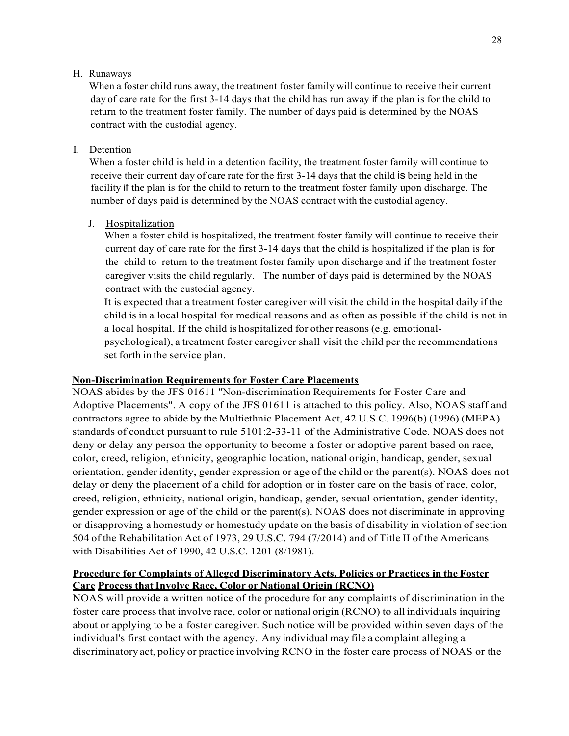### H. Runaways

When a foster child runs away, the treatment foster family will continue to receive their current day of care rate for the first 3-14 days that the child has run away if the plan is for the child to return to the treatment foster family. The number of days paid is determined by the NOAS contract with the custodial agency.

### I. Detention

When a foster child is held in a detention facility, the treatment foster family will continue to receive their current day of care rate for the first 3-14 days that the child is being held in the facility if the plan is for the child to return to the treatment foster family upon discharge. The number of days paid is determined by the NOAS contract with the custodial agency.

## J. Hospitalization

When a foster child is hospitalized, the treatment foster family will continue to receive their current day of care rate for the first 3-14 days that the child is hospitalized if the plan is for the child to return to the treatment foster family upon discharge and if the treatment foster caregiver visits the child regularly. The number of days paid is determined by the NOAS contract with the custodial agency.

It is expected that a treatment foster caregiver will visit the child in the hospital daily ifthe child is in a local hospital for medical reasons and as often as possible if the child is not in a local hospital. If the child is hospitalized for other reasons (e.g. emotionalpsychological), a treatment foster caregiver shall visit the child per the recommendations set forth in the service plan.

## **Non-Discrimination Requirements for Foster Care Placements**

NOAS abides by the JFS 01611 ''Non-discrimination Requirements for Foster Care and Adoptive Placements". A copy of the JFS 01611 is attached to this policy. Also, NOAS staff and contractors agree to abide by the Multiethnic Placement Act, 42 U.S.C. 1996(b) (1996) (MEPA) standards of conduct pursuant to rule 5101:2-33-11 of the Administrative Code. NOAS does not deny or delay any person the opportunity to become a foster or adoptive parent based on race, color, creed, religion, ethnicity, geographic location, national origin, handicap, gender, sexual orientation, gender identity, gender expression or age of the child or the parent(s). NOAS does not delay or deny the placement of a child for adoption or in foster care on the basis of race, color, creed, religion, ethnicity, national origin, handicap, gender, sexual orientation, gender identity, gender expression or age of the child or the parent(s). NOAS does not discriminate in approving or disapproving a homestudy or homestudy update on the basis of disability in violation of section 504 of the Rehabilitation Act of 1973, 29 U.S.C. 794 (7/2014) and of Title II of the Americans with Disabilities Act of 1990, 42 U.S.C. 1201 (8/1981).

# **Procedure for Complaints of Alleged Discriminatory Acts, Policies or Practices in the Foster Care Process that Involve Race, Color or National Origin (RCNO)**

NOAS will provide a written notice of the procedure for any complaints of discrimination in the foster care process that involve race, color or national origin (RCNO) to all individuals inquiring about or applying to be a foster caregiver. Such notice will be provided within seven days of the individual's first contact with the agency. Any individual may file a complaint alleging a discriminatory act, policy or practice involving RCNO in the foster care process of NOAS or the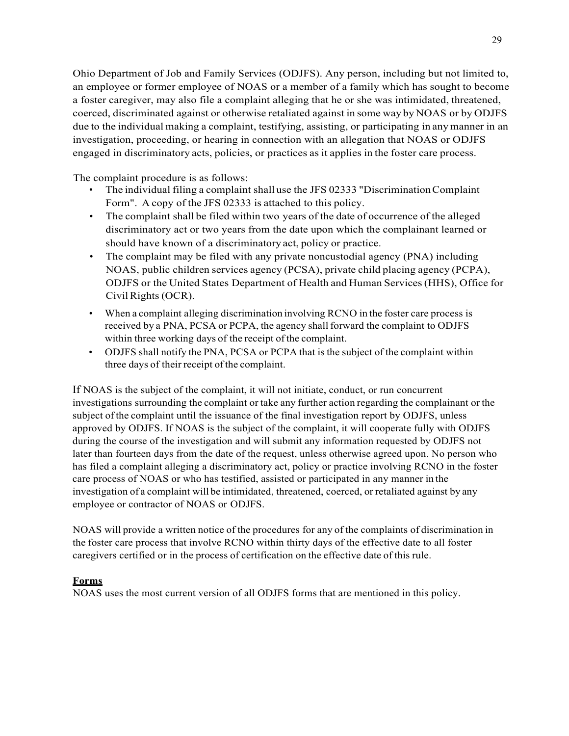Ohio Department of Job and Family Services (ODJFS). Any person, including but not limited to, an employee or former employee of NOAS or a member of a family which has sought to become a foster caregiver, may also file a complaint alleging that he or she was intimidated, threatened, coerced, discriminated against or otherwise retaliated against in some way by NOAS or by ODJFS due to the individual making a complaint, testifying, assisting, or participating in any manner in an investigation, proceeding, or hearing in connection with an allegation that NOAS or ODJFS engaged in discriminatory acts, policies, or practices as it applies in the foster care process.

The complaint procedure is as follows:

- The individual filing a complaint shall use the JFS 02333 "DiscriminationComplaint Form". A copy of the JFS 02333 is attached to this policy.
- The complaint shall be filed within two years of the date of occurrence of the alleged discriminatory act or two years from the date upon which the complainant learned or should have known of a discriminatory act, policy or practice.
- The complaint may be filed with any private noncustodial agency (PNA) including NOAS, public children services agency (PCSA), private child placing agency (PCPA), ODJFS or the United States Department of Health and Human Services(HHS), Office for Civil Rights (OCR).
- When a complaint alleging discrimination involving RCNO in the foster care process is received by a PNA, PCSA or PCPA, the agency shallforward the complaint to ODJFS within three working days of the receipt of the complaint.
- ODJFS shall notify the PNA, PCSA or PCPA that is the subject of the complaint within three days of their receipt of the complaint.

If NOAS is the subject of the complaint, it will not initiate, conduct, or run concurrent investigations surrounding the complaint or take any further action regarding the complainant or the subject ofthe complaint until the issuance of the final investigation report by ODJFS, unless approved by ODJFS. If NOAS is the subject of the complaint, it will cooperate fully with ODJFS during the course of the investigation and will submit any information requested by ODJFS not later than fourteen days from the date of the request, unless otherwise agreed upon. No person who has filed a complaint alleging a discriminatory act, policy or practice involving RCNO in the foster care process of NOAS or who has testified, assisted or participated in any manner in the investigation of a complaint will be intimidated, threatened, coerced, or retaliated against by any employee or contractor of NOAS or ODJFS.

NOAS will provide a written notice of the procedures for any of the complaints of discrimination in the foster care process that involve RCNO within thirty days of the effective date to all foster caregivers certified or in the process of certification on the effective date of this rule.

# **Forms**

NOAS uses the most current version of all ODJFS forms that are mentioned in this policy.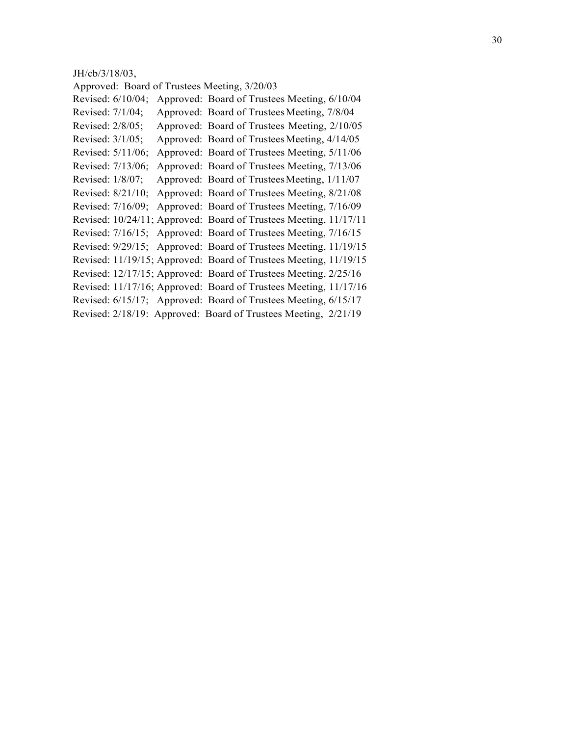#### JH/cb/3/18/03,

Approved: Board of Trustees Meeting, 3/20/03 Revised: 6/10/04; Approved: Board of Trustees Meeting, 6/10/04 Revised: 7/1/04; Approved: Board of Trustees Meeting, 7/8/04 Revised: 2/8/05; Approved: Board of Trustees Meeting, 2/10/05 Revised:  $3/1/05$ ; Approved: Board of Trustees Meeting,  $4/14/05$ Revised: 5/11/06; Approved: Board of Trustees Meeting, 5/11/06 Revised: 7/13/06; Approved: Board of Trustees Meeting, 7/13/06 Revised: 1/8/07; Approved: Board of Trustees Meeting, 1/11/07 Revised: 8/21/10; Approved: Board of Trustees Meeting, 8/21/08 Revised: 7/16/09; Approved: Board of Trustees Meeting, 7/16/09 Revised: 10/24/11; Approved: Board of Trustees Meeting, 11/17/11 Revised: 7/16/15; Approved: Board of Trustees Meeting, 7/16/15 Revised: 9/29/15; Approved: Board of Trustees Meeting, 11/19/15 Revised: 11/19/15; Approved: Board of Trustees Meeting, 11/19/15 Revised: 12/17/15; Approved: Board of Trustees Meeting, 2/25/16 Revised: 11/17/16; Approved: Board of Trustees Meeting, 11/17/16 Revised: 6/15/17; Approved: Board of Trustees Meeting, 6/15/17 Revised: 2/18/19: Approved: Board of Trustees Meeting, 2/21/19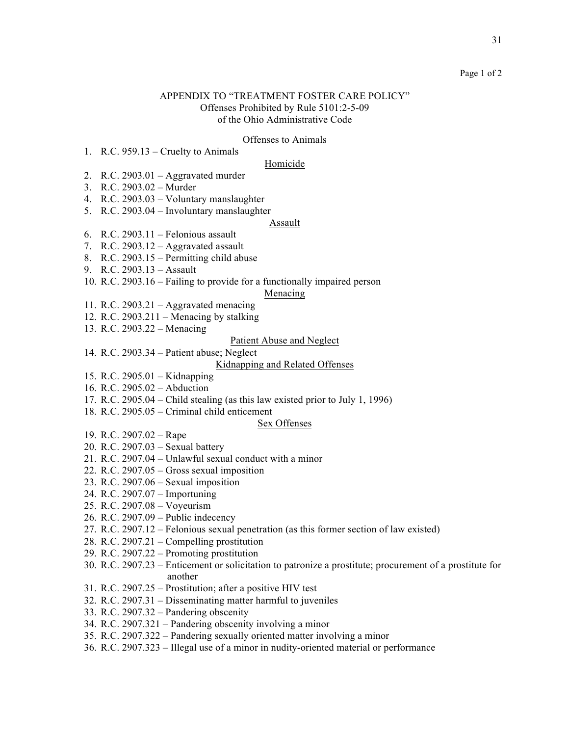#### Page 1 of 2

### APPENDIX TO "TREATMENT FOSTER CARE POLICY" Offenses Prohibited by Rule 5101:2-5-09 of the Ohio Administrative Code

#### Offenses to Animals

1. R.C. 959.13 – Cruelty to Animals

#### Homicide

- 2. R.C.  $2903.01 -$  Aggravated murder
- 3. R.C. 2903.02 Murder
- 4. R.C. 2903.03 Voluntary manslaughter
- 5. R.C. 2903.04 Involuntary manslaughter

#### Assault

- 6. R.C. 2903.11 Felonious assault
- 7. R.C.  $2903.12 -$  Aggravated assault
- 8. R.C. 2903.15 Permitting child abuse
- 9. R.C. 2903.13 Assault
- 10. R.C. 2903.16 Failing to provide for a functionally impaired person

### Menacing

- 11. R.C. 2903.21 Aggravated menacing
- 12. R.C. 2903.211 Menacing by stalking
- 13. R.C. 2903.22 Menacing

## Patient Abuse and Neglect

14. R.C. 2903.34 – Patient abuse; Neglect

#### Kidnapping and Related Offenses

- 15. R.C. 2905.01 Kidnapping
- 16. R.C. 2905.02 Abduction
- 17. R.C. 2905.04 Child stealing (as this law existed prior to July 1, 1996)
- 18. R.C. 2905.05 Criminal child enticement

#### Sex Offenses

- 19. R.C. 2907.02 Rape
- 20. R.C. 2907.03 Sexual battery
- 21. R.C. 2907.04 Unlawful sexual conduct with a minor
- 22. R.C. 2907.05 Gross sexual imposition
- 23. R.C. 2907.06 Sexual imposition
- 24. R.C. 2907.07 Importuning
- 25. R.C. 2907.08 Voyeurism
- 26. R.C. 2907.09 Public indecency
- 27. R.C. 2907.12 Felonious sexual penetration (as this former section of law existed)
- 28. R.C. 2907.21 Compelling prostitution
- 29. R.C. 2907.22 Promoting prostitution
- 30. R.C. 2907.23 Enticement or solicitation to patronize a prostitute; procurement of a prostitute for another
- 31. R.C. 2907.25 Prostitution; after a positive HIV test
- 32. R.C. 2907.31 Disseminating matter harmful to juveniles
- 33. R.C. 2907.32 Pandering obscenity
- 34. R.C. 2907.321 Pandering obscenity involving a minor
- 35. R.C. 2907.322 Pandering sexually oriented matter involving a minor
- 36. R.C. 2907.323 Illegal use of a minor in nudity-oriented material or performance